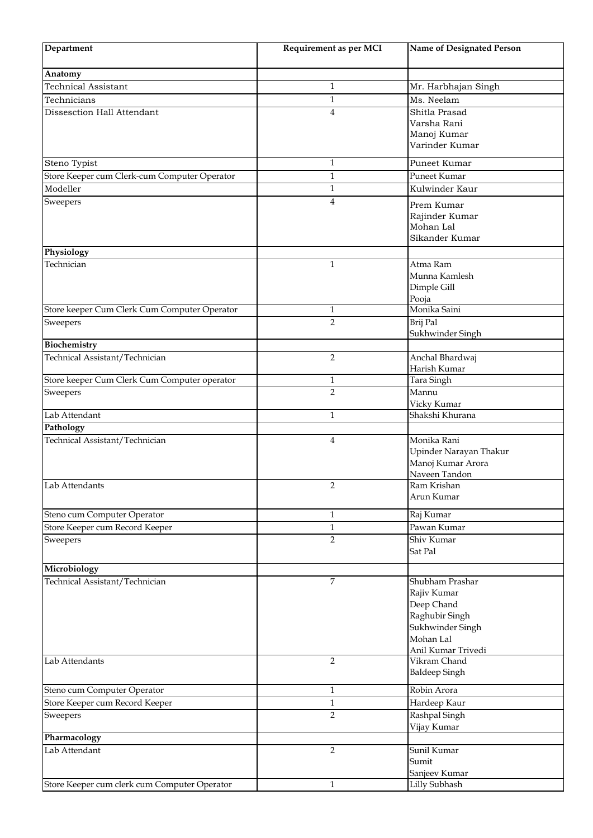| Department                                   | Requirement as per MCI | Name of Designated Person      |
|----------------------------------------------|------------------------|--------------------------------|
| Anatomy                                      |                        |                                |
| <b>Technical Assistant</b>                   | $\mathbf{1}$           | Mr. Harbhajan Singh            |
| Technicians                                  | 1                      | Ms. Neelam                     |
| Dissesction Hall Attendant                   | $\overline{4}$         | Shitla Prasad                  |
|                                              |                        | Varsha Rani                    |
|                                              |                        | Manoj Kumar                    |
|                                              |                        | Varinder Kumar                 |
| Steno Typist                                 | 1                      | Puneet Kumar                   |
| Store Keeper cum Clerk-cum Computer Operator | $\mathbf{1}$           | Puneet Kumar                   |
| Modeller                                     | 1                      | Kulwinder Kaur                 |
| Sweepers                                     | 4                      | Prem Kumar                     |
|                                              |                        | Rajinder Kumar                 |
|                                              |                        | Mohan Lal                      |
|                                              |                        | Sikander Kumar                 |
| Physiology                                   |                        |                                |
| Technician                                   | $\mathbf{1}$           | Atma Ram<br>Munna Kamlesh      |
|                                              |                        | Dimple Gill                    |
|                                              |                        | Pooja                          |
| Store keeper Cum Clerk Cum Computer Operator | $\mathbf{1}$           | Monika Saini                   |
| Sweepers                                     | $\overline{2}$         | Brij Pal                       |
|                                              |                        | Sukhwinder Singh               |
| Biochemistry                                 |                        |                                |
| Technical Assistant/Technician               | $\overline{2}$         | Anchal Bhardwaj                |
| Store keeper Cum Clerk Cum Computer operator | $\mathbf{1}$           | Harish Kumar<br>Tara Singh     |
| Sweepers                                     | $\overline{2}$         | Mannu                          |
|                                              |                        | Vicky Kumar                    |
| Lab Attendant                                | $\mathbf{1}$           | Shakshi Khurana                |
| Pathology                                    |                        |                                |
| Technical Assistant/Technician               | 4                      | Monika Rani                    |
|                                              |                        | Upinder Narayan Thakur         |
|                                              |                        | Manoj Kumar Arora              |
| Lab Attendants                               | 2                      | Naveen Tandon<br>Ram Krishan   |
|                                              |                        | Arun Kumar                     |
|                                              |                        |                                |
| Steno cum Computer Operator                  | 1                      | Raj Kumar                      |
| Store Keeper cum Record Keeper               | $\mathbf{1}$           | Pawan Kumar                    |
| Sweepers                                     | $\overline{2}$         | Shiv Kumar<br>Sat Pal          |
|                                              |                        |                                |
| Microbiology                                 |                        |                                |
| Technical Assistant/Technician               | $\overline{7}$         | Shubham Prashar                |
|                                              |                        | Rajiv Kumar                    |
|                                              |                        | Deep Chand<br>Raghubir Singh   |
|                                              |                        | Sukhwinder Singh               |
|                                              |                        | Mohan Lal                      |
|                                              |                        | Anil Kumar Trivedi             |
| Lab Attendants                               | $\overline{2}$         | Vikram Chand                   |
|                                              |                        | <b>Baldeep Singh</b>           |
| Steno cum Computer Operator                  | $\mathbf{1}$           | Robin Arora                    |
| Store Keeper cum Record Keeper               | $\mathbf{1}$           | Hardeep Kaur                   |
| Sweepers                                     | $\overline{2}$         | Rashpal Singh                  |
|                                              |                        | Vijay Kumar                    |
| Pharmacology                                 |                        |                                |
| Lab Attendant                                | $\overline{2}$         | Sunil Kumar                    |
|                                              |                        | Sumit                          |
| Store Keeper cum clerk cum Computer Operator | $\mathbf{1}$           | Sanjeev Kumar<br>Lilly Subhash |
|                                              |                        |                                |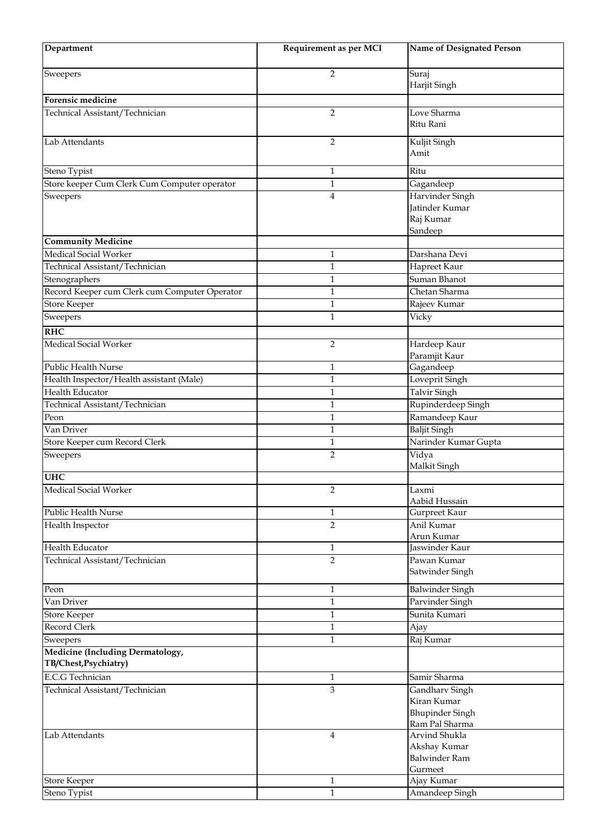| Department                                                     | Requirement as per MCI | <b>Name of Designated Person</b> |
|----------------------------------------------------------------|------------------------|----------------------------------|
| Sweepers                                                       | 2                      | Suraj                            |
|                                                                |                        | Harjit Singh                     |
| <b>Forensic medicine</b>                                       |                        |                                  |
| Technical Assistant/Technician                                 | $\overline{2}$         | Love Sharma                      |
|                                                                |                        | Ritu Rani                        |
| Lab Attendants                                                 | 2                      | Kuljit Singh                     |
|                                                                |                        | Amit                             |
| Steno Typist                                                   | 1                      | Ritu                             |
| Store keeper Cum Clerk Cum Computer operator                   | 1                      | Gagandeep                        |
| Sweepers                                                       | 4                      | Harvinder Singh                  |
|                                                                |                        | Jatinder Kumar                   |
|                                                                |                        | Raj Kumar                        |
|                                                                |                        | Sandeep                          |
| <b>Community Medicine</b>                                      |                        |                                  |
| Medical Social Worker                                          | 1                      | Darshana Devi                    |
| Technical Assistant/Technician                                 | 1                      | Hapreet Kaur                     |
| Stenographers<br>Record Keeper cum Clerk cum Computer Operator | 1<br>$\mathbf{1}$      | Suman Bhanot<br>Chetan Sharma    |
| <b>Store Keeper</b>                                            | 1                      | Rajeev Kumar                     |
| Sweepers                                                       | 1                      | Vicky                            |
|                                                                |                        |                                  |
| <b>RHC</b>                                                     |                        |                                  |
| Medical Social Worker                                          | 2                      | Hardeep Kaur<br>Paramjit Kaur    |
| Public Health Nurse                                            | 1                      | Gagandeep                        |
| Health Inspector/Health assistant (Male)                       | 1                      | Loveprit Singh                   |
| Health Educator                                                | $\mathbf{1}$           | <b>Talvir Singh</b>              |
| Technical Assistant/Technician                                 | 1                      | Rupinderdeep Singh               |
| Peon                                                           | $\mathbf{1}$           | Ramandeep Kaur                   |
| Van Driver                                                     | 1                      | Baljit Singh                     |
| Store Keeper cum Record Clerk                                  | 1                      | Narinder Kumar Gupta             |
| Sweepers                                                       | $\overline{2}$         | Vidya                            |
|                                                                |                        | Malkit Singh                     |
| <b>UHC</b>                                                     |                        |                                  |
| Medical Social Worker                                          | 2                      | $Lax\overline{mi}$               |
| Public Health Nurse                                            | 1                      | Aabid Hussain                    |
| Health Inspector                                               | $\overline{2}$         | Gurpreet Kaur<br>Anil Kumar      |
|                                                                |                        | Arun Kumar                       |
| Health Educator                                                | $\mathbf{1}$           | Jaswinder Kaur                   |
| Technical Assistant/Technician                                 | $\overline{2}$         | Pawan Kumar                      |
|                                                                |                        | Satwinder Singh                  |
| Peon                                                           | $\mathbf{1}$           | <b>Balwinder Singh</b>           |
| Van Driver                                                     | $\mathbf{1}$           | Parvinder Singh                  |
| Store Keeper                                                   | $\mathbf{1}$           | Sunita Kumari                    |
| Record Clerk                                                   | $\mathbf{1}$           | Ajay                             |
| Sweepers                                                       | $\mathbf{1}$           | Raj Kumar                        |
| Medicine (Including Dermatology,                               |                        |                                  |
| TB/Chest, Psychiatry)                                          |                        |                                  |
| <b>E.C.G</b> Technician                                        | 1                      | Samir Sharma                     |
| Technical Assistant/Technician                                 | 3                      | Gandharv Singh                   |
|                                                                |                        | Kiran Kumar                      |
|                                                                |                        | <b>Bhupinder Singh</b>           |
|                                                                |                        | Ram Pal Sharma                   |
| Lab Attendants                                                 | $\overline{4}$         | Arvind Shukla<br>Akshay Kumar    |
|                                                                |                        | <b>Balwinder Ram</b>             |
|                                                                |                        | Gurmeet                          |
| <b>Store Keeper</b>                                            | $\mathbf{1}$           | Ajay Kumar                       |
| Steno Typist                                                   | $\mathbf{1}$           | Amandeep Singh                   |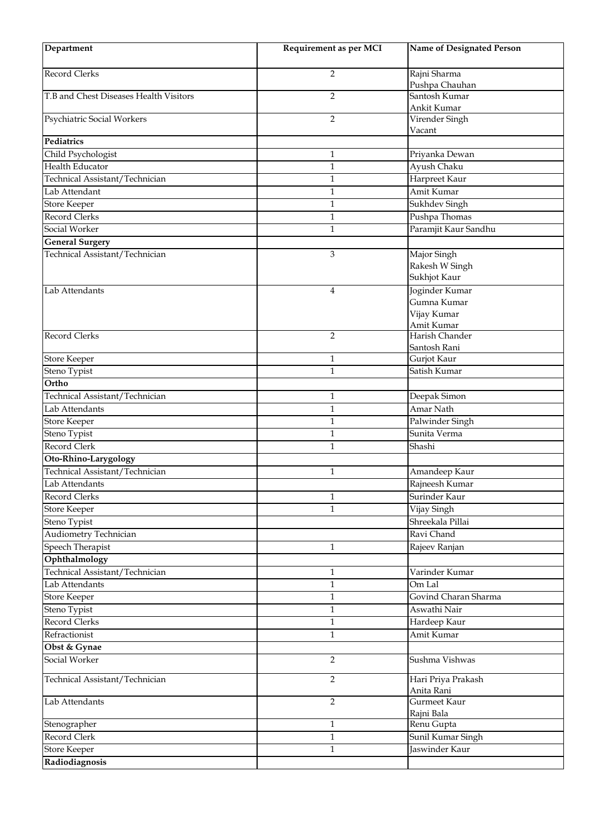| Department                             | Requirement as per MCI | <b>Name of Designated Person</b>                           |
|----------------------------------------|------------------------|------------------------------------------------------------|
| Record Clerks                          | 2                      | Rajni Sharma<br>Pushpa Chauhan                             |
| T.B and Chest Diseases Health Visitors | $\overline{2}$         | Santosh Kumar<br>Ankit Kumar                               |
| Psychiatric Social Workers             | $\overline{2}$         | Virender Singh<br>Vacant                                   |
| <b>Pediatrics</b>                      |                        |                                                            |
| Child Psychologist                     | $\mathbf{1}$           | Priyanka Dewan                                             |
| <b>Health Educator</b>                 | $\mathbf{1}$           | Ayush Chaku                                                |
| Technical Assistant/Technician         | $\mathbf{1}$           | Harpreet Kaur                                              |
| Lab Attendant                          | $\mathbf{1}$           | Amit Kumar                                                 |
| <b>Store Keeper</b>                    | $\mathbf{1}$           | Sukhdev Singh                                              |
| Record Clerks                          | $\mathbf{1}$           | Pushpa Thomas                                              |
| Social Worker                          | $\mathbf{1}$           | Paramjit Kaur Sandhu                                       |
| General Surgery                        |                        |                                                            |
| Technical Assistant/Technician         | 3                      | Major Singh<br>Rakesh W Singh<br>Sukhjot Kaur              |
| Lab Attendants                         | $\overline{4}$         | Joginder Kumar<br>Gumna Kumar<br>Vijay Kumar<br>Amit Kumar |
| Record Clerks                          | $\overline{2}$         | Harish Chander<br>Santosh Rani                             |
| <b>Store Keeper</b>                    | $\mathbf{1}$           | Gurjot Kaur                                                |
| Steno Typist                           | $\mathbf{1}$           | Satish Kumar                                               |
| Ortho                                  |                        |                                                            |
| Technical Assistant/Technician         | $\mathbf{1}$           | Deepak Simon                                               |
| Lab Attendants                         | $\mathbf{1}$           | Amar Nath                                                  |
| Store Keeper                           | $\mathbf{1}$           | Palwinder Singh                                            |
| Steno Typist                           | $\mathbf{1}$           | Sunita Verma                                               |
| Record Clerk                           | $\mathbf{1}$           | Shashi                                                     |
| Oto-Rhino-Larygology                   |                        |                                                            |
| Technical Assistant/Technician         | $\mathbf{1}$           | Amandeep Kaur                                              |
| Lab Attendants                         |                        | Rajneesh Kumar                                             |
| Record Clerks                          | $\mathbf{1}$           | Surinder Kaur                                              |
| <b>Store Keeper</b>                    | 1                      | Vijay Singh                                                |
| Steno Typist                           |                        | Shreekala Pillai                                           |
| Audiometry Technician                  |                        | Ravi Chand                                                 |
| Speech Therapist                       | $\mathbf{1}$           | Rajeev Ranjan                                              |
| Ophthalmology                          |                        |                                                            |
| Technical Assistant/Technician         | $\mathbf{1}$           | Varinder Kumar                                             |
| Lab Attendants                         | $\mathbf{1}$           | Om Lal                                                     |
| <b>Store Keeper</b>                    | $\mathbf{1}$           | Govind Charan Sharma                                       |
| Steno Typist                           | $\mathbf{1}$           | Aswathi Nair                                               |
| Record Clerks                          | $\mathbf 1$            | Hardeep Kaur                                               |
| Refractionist                          | $\mathbf{1}$           | Amit Kumar                                                 |
| Obst & Gynae                           |                        |                                                            |
| Social Worker                          | $\overline{2}$         | Sushma Vishwas                                             |
| Technical Assistant/Technician         | $\overline{2}$         | Hari Priya Prakash<br>Anita Rani                           |
| Lab Attendants                         | $\overline{2}$         | Gurmeet Kaur<br>Rajni Bala                                 |
| Stenographer                           | $\mathbf{1}$           | Renu Gupta                                                 |
| Record Clerk                           | $\mathbf{1}$           | Sunil Kumar Singh                                          |
| <b>Store Keeper</b>                    | $\mathbf{1}$           | Jaswinder Kaur                                             |
| Radiodiagnosis                         |                        |                                                            |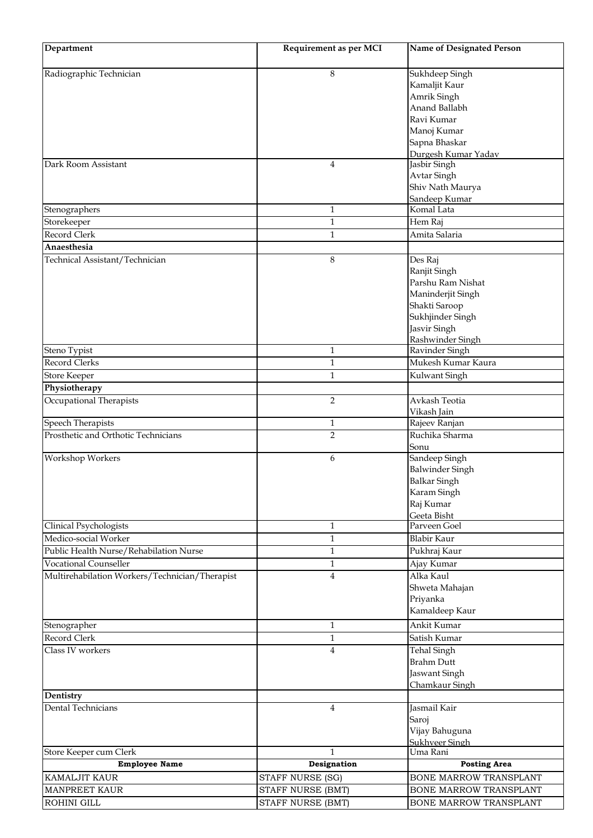| Department                                     | Requirement as per MCI | Name of Designated Person     |
|------------------------------------------------|------------------------|-------------------------------|
| Radiographic Technician                        | 8                      | Sukhdeep Singh                |
|                                                |                        | Kamaljit Kaur                 |
|                                                |                        | Amrik Singh                   |
|                                                |                        | Anand Ballabh                 |
|                                                |                        | Ravi Kumar                    |
|                                                |                        | Manoj Kumar                   |
|                                                |                        | Sapna Bhaskar                 |
|                                                |                        | Durgesh Kumar Yadav           |
| Dark Room Assistant                            | $\overline{4}$         | Jasbir Singh                  |
|                                                |                        | Avtar Singh                   |
|                                                |                        | Shiv Nath Maurya              |
|                                                |                        | Sandeep Kumar                 |
| Stenographers                                  | 1                      | Komal Lata                    |
| Storekeeper                                    | $\mathbf{1}$           | Hem Raj                       |
| Record Clerk                                   | $\mathbf{1}$           | Amita Salaria                 |
| Anaesthesia                                    |                        |                               |
| Technical Assistant/Technician                 | 8                      | Des Raj                       |
|                                                |                        | Ranjit Singh                  |
|                                                |                        | Parshu Ram Nishat             |
|                                                |                        | Maninderjit Singh             |
|                                                |                        | Shakti Saroop                 |
|                                                |                        | Sukhjinder Singh              |
|                                                |                        | Jasvir Singh                  |
|                                                |                        | Rashwinder Singh              |
| Steno Typist                                   | $\mathbf{1}$           | Ravinder Singh                |
| Record Clerks                                  | 1                      | Mukesh Kumar Kaura            |
| <b>Store Keeper</b>                            | $\mathbf{1}$           | Kulwant Singh                 |
| Physiotherapy                                  |                        |                               |
| Occupational Therapists                        | $\overline{2}$         | Avkash Teotia                 |
|                                                |                        | Vikash Jain                   |
| <b>Speech Therapists</b>                       | $\mathbf{1}$           | Rajeev Ranjan                 |
| Prosthetic and Orthotic Technicians            | $\overline{2}$         | Ruchika Sharma                |
|                                                |                        | Sonu                          |
| Workshop Workers                               | 6                      | Sandeep Singh                 |
|                                                |                        | <b>Balwinder Singh</b>        |
|                                                |                        | <b>Balkar Singh</b>           |
|                                                |                        | Karam Singh                   |
|                                                |                        | Raj Kumar                     |
|                                                |                        | Geeta Bisht                   |
| Clinical Psychologists                         | $\mathbf{1}$           | Parveen Goel                  |
| Medico-social Worker                           | $\mathbf{1}$           | <b>Blabir Kaur</b>            |
| Public Health Nurse/Rehabilation Nurse         | $\mathbf{1}$           | Pukhraj Kaur                  |
| <b>Vocational Counseller</b>                   | $\mathbf{1}$           | Ajay Kumar                    |
| Multirehabilation Workers/Technician/Therapist | $\overline{4}$         | Alka Kaul                     |
|                                                |                        | Shweta Mahajan                |
|                                                |                        | Priyanka                      |
|                                                |                        | Kamaldeep Kaur                |
| Stenographer                                   | $\mathbf{1}$           | Ankit Kumar                   |
| Record Clerk                                   | $\mathbf{1}$           | Satish Kumar                  |
| Class IV workers                               | 4                      | <b>Tehal Singh</b>            |
|                                                |                        | <b>Brahm Dutt</b>             |
|                                                |                        | Jaswant Singh                 |
|                                                |                        | Chamkaur Singh                |
| Dentistry                                      |                        |                               |
| Dental Technicians                             | $\overline{4}$         | Jasmail Kair                  |
|                                                |                        | Saroj                         |
|                                                |                        | Vijay Bahuguna                |
|                                                |                        | Sukhveer Singh                |
| Store Keeper cum Clerk                         | $\mathbf{1}$           | Uma Rani                      |
| <b>Employee Name</b>                           | Designation            | <b>Posting Area</b>           |
| <b>KAMALJIT KAUR</b>                           | STAFF NURSE (SG)       | <b>BONE MARROW TRANSPLANT</b> |
| <b>MANPREET KAUR</b>                           | STAFF NURSE (BMT)      | BONE MARROW TRANSPLANT        |
| ROHINI GILL                                    | STAFF NURSE (BMT)      | BONE MARROW TRANSPLANT        |
|                                                |                        |                               |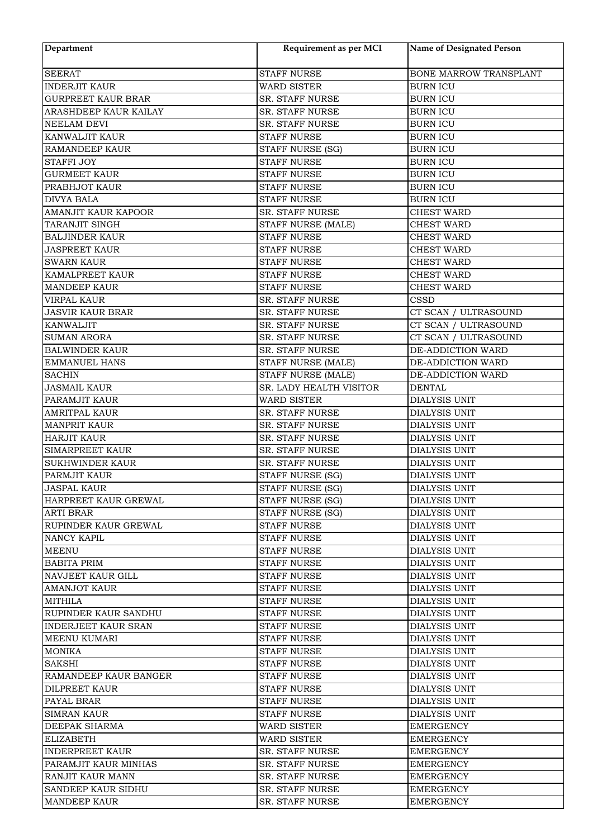| Department                                     | Requirement as per MCI                           | <b>Name of Designated Person</b> |
|------------------------------------------------|--------------------------------------------------|----------------------------------|
| <b>SEERAT</b>                                  | <b>STAFF NURSE</b>                               | BONE MARROW TRANSPLANT           |
| <b>INDERJIT KAUR</b>                           | <b>WARD SISTER</b>                               | <b>BURN ICU</b>                  |
| <b>GURPREET KAUR BRAR</b>                      | <b>SR. STAFF NURSE</b>                           | <b>BURN ICU</b>                  |
| ARASHDEEP KAUR KAILAY                          | SR. STAFF NURSE                                  | <b>BURN ICU</b>                  |
| NEELAM DEVI                                    | SR. STAFF NURSE                                  | <b>BURN ICU</b>                  |
| KANWALJIT KAUR                                 | <b>STAFF NURSE</b>                               | <b>BURN ICU</b>                  |
| <b>RAMANDEEP KAUR</b>                          | STAFF NURSE (SG)                                 | <b>BURN ICU</b>                  |
| <b>STAFFI JOY</b>                              | <b>STAFF NURSE</b>                               | <b>BURN ICU</b>                  |
| <b>GURMEET KAUR</b>                            | <b>STAFF NURSE</b>                               | <b>BURN ICU</b>                  |
| PRABHJOT KAUR                                  | <b>STAFF NURSE</b>                               | <b>BURN ICU</b>                  |
| <b>DIVYA BALA</b>                              | <b>STAFF NURSE</b>                               | <b>BURN ICU</b>                  |
| AMANJIT KAUR KAPOOR                            | SR. STAFF NURSE                                  | <b>CHEST WARD</b>                |
| TARANJIT SINGH                                 | STAFF NURSE (MALE)                               | <b>CHEST WARD</b>                |
| <b>BALJINDER KAUR</b>                          | <b>STAFF NURSE</b>                               | <b>CHEST WARD</b>                |
| <b>JASPREET KAUR</b>                           | <b>STAFF NURSE</b>                               | <b>CHEST WARD</b>                |
| <b>SWARN KAUR</b>                              | <b>STAFF NURSE</b>                               | <b>CHEST WARD</b>                |
| KAMALPREET KAUR                                | <b>STAFF NURSE</b>                               | <b>CHEST WARD</b>                |
| <b>MANDEEP KAUR</b>                            | <b>STAFF NURSE</b>                               | <b>CHEST WARD</b>                |
| <b>VIRPAL KAUR</b>                             | SR. STAFF NURSE                                  | <b>CSSD</b>                      |
| <b>JASVIR KAUR BRAR</b>                        | SR. STAFF NURSE                                  | CT SCAN / ULTRASOUND             |
| <b>KANWALJIT</b>                               | SR. STAFF NURSE                                  | CT SCAN / ULTRASOUND             |
| <b>SUMAN ARORA</b>                             | SR. STAFF NURSE                                  | CT SCAN / ULTRASOUND             |
| <b>BALWINDER KAUR</b>                          | SR. STAFF NURSE                                  | DE-ADDICTION WARD                |
| <b>EMMANUEL HANS</b>                           | STAFF NURSE (MALE)                               | DE-ADDICTION WARD                |
| <b>SACHIN</b>                                  | STAFF NURSE (MALE)                               | DE-ADDICTION WARD                |
| <b>JASMAIL KAUR</b>                            | SR. LADY HEALTH VISITOR                          | <b>DENTAL</b>                    |
| PARAMJIT KAUR                                  | <b>WARD SISTER</b>                               | DIALYSIS UNIT                    |
| <b>AMRITPAL KAUR</b>                           | SR. STAFF NURSE                                  | DIALYSIS UNIT                    |
| <b>MANPRIT KAUR</b>                            | SR. STAFF NURSE                                  | <b>DIALYSIS UNIT</b>             |
| <b>HARJIT KAUR</b>                             | SR. STAFF NURSE                                  | DIALYSIS UNIT                    |
| <b>SIMARPREET KAUR</b>                         | SR. STAFF NURSE                                  | DIALYSIS UNIT                    |
| <b>SUKHWINDER KAUR</b>                         | SR. STAFF NURSE                                  | DIALYSIS UNIT                    |
| PARMJIT KAUR                                   | STAFF NURSE (SG)                                 | DIALYSIS UNIT                    |
| <b>JASPAL KAUR</b>                             | STAFF NURSE (SG)                                 | DIALYSIS UNIT                    |
| HARPREET KAUR GREWAL                           | STAFF NURSE (SG)                                 | DIALYSIS UNIT                    |
| <b>ARTI BRAR</b>                               | STAFF NURSE (SG)                                 | <b>DIALYSIS UNIT</b>             |
| RUPINDER KAUR GREWAL                           | <b>STAFF NURSE</b>                               | <b>DIALYSIS UNIT</b>             |
| NANCY KAPIL                                    | <b>STAFF NURSE</b>                               | <b>DIALYSIS UNIT</b>             |
| <b>MEENU</b>                                   | <b>STAFF NURSE</b>                               | <b>DIALYSIS UNIT</b>             |
| <b>BABITA PRIM</b>                             | <b>STAFF NURSE</b>                               | DIALYSIS UNIT                    |
| <b>NAVJEET KAUR GILL</b>                       | <b>STAFF NURSE</b>                               | <b>DIALYSIS UNIT</b>             |
| <b>AMANJOT KAUR</b>                            | <b>STAFF NURSE</b>                               | DIALYSIS UNIT                    |
| <b>MITHILA</b>                                 | STAFF NURSE                                      | <b>DIALYSIS UNIT</b>             |
| <b>RUPINDER KAUR SANDHU</b>                    | STAFF NURSE                                      | DIALYSIS UNIT                    |
| <b>INDERJEET KAUR SRAN</b>                     | STAFF NURSE                                      | <b>DIALYSIS UNIT</b>             |
| <b>MEENU KUMARI</b>                            | <b>STAFF NURSE</b>                               | <b>DIALYSIS UNIT</b>             |
| <b>MONIKA</b>                                  | <b>STAFF NURSE</b>                               | <b>DIALYSIS UNIT</b>             |
| <b>SAKSHI</b>                                  | <b>STAFF NURSE</b>                               | <b>DIALYSIS UNIT</b>             |
| RAMANDEEP KAUR BANGER                          | <b>STAFF NURSE</b>                               | <b>DIALYSIS UNIT</b>             |
| <b>DILPREET KAUR</b>                           | <b>STAFF NURSE</b>                               | <b>DIALYSIS UNIT</b>             |
| PAYAL BRAR                                     | <b>STAFF NURSE</b>                               | <b>DIALYSIS UNIT</b>             |
| <b>SIMRAN KAUR</b>                             | <b>STAFF NURSE</b>                               | <b>DIALYSIS UNIT</b>             |
| <b>DEEPAK SHARMA</b>                           | <b>WARD SISTER</b>                               | EMERGENCY                        |
| <b>ELIZABETH</b>                               | <b>WARD SISTER</b>                               | EMERGENCY                        |
| <b>INDERPREET KAUR</b><br>PARAMJIT KAUR MINHAS | <b>SR. STAFF NURSE</b><br><b>SR. STAFF NURSE</b> | EMERGENCY                        |
| RANJIT KAUR MANN                               | <b>SR. STAFF NURSE</b>                           | EMERGENCY                        |
| SANDEEP KAUR SIDHU                             | SR. STAFF NURSE                                  | EMERGENCY<br>EMERGENCY           |
| <b>MANDEEP KAUR</b>                            | SR. STAFF NURSE                                  | EMERGENCY                        |
|                                                |                                                  |                                  |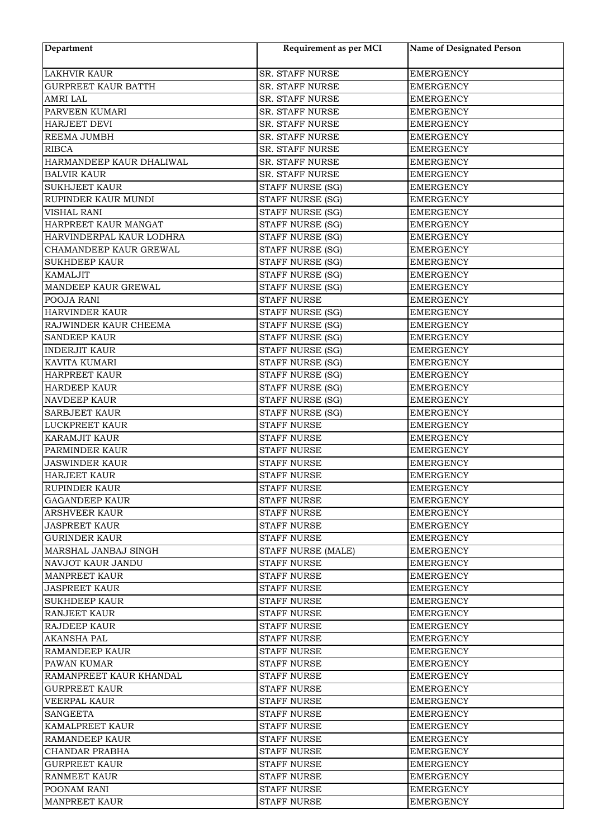| Department                 | Requirement as per MCI  | <b>Name of Designated Person</b> |
|----------------------------|-------------------------|----------------------------------|
| <b>LAKHVIR KAUR</b>        | SR. STAFF NURSE         | <b>EMERGENCY</b>                 |
| <b>GURPREET KAUR BATTH</b> | SR. STAFF NURSE         | <b>EMERGENCY</b>                 |
| AMRI LAL                   | SR. STAFF NURSE         | <b>EMERGENCY</b>                 |
| PARVEEN KUMARI             | SR. STAFF NURSE         | <b>EMERGENCY</b>                 |
| <b>HARJEET DEVI</b>        | <b>SR. STAFF NURSE</b>  | <b>EMERGENCY</b>                 |
| REEMA JUMBH                | SR. STAFF NURSE         | <b>EMERGENCY</b>                 |
| <b>RIBCA</b>               | SR. STAFF NURSE         | <b>EMERGENCY</b>                 |
| HARMANDEEP KAUR DHALIWAL   | SR. STAFF NURSE         | <b>EMERGENCY</b>                 |
| <b>BALVIR KAUR</b>         | SR. STAFF NURSE         | <b>EMERGENCY</b>                 |
| <b>SUKHJEET KAUR</b>       | STAFF NURSE (SG)        | <b>EMERGENCY</b>                 |
| RUPINDER KAUR MUNDI        | STAFF NURSE (SG)        | <b>EMERGENCY</b>                 |
| <b>VISHAL RANI</b>         | STAFF NURSE (SG)        | <b>EMERGENCY</b>                 |
| HARPREET KAUR MANGAT       | <b>STAFF NURSE (SG)</b> | <b>EMERGENCY</b>                 |
| HARVINDERPAL KAUR LODHRA   | STAFF NURSE (SG)        | <b>EMERGENCY</b>                 |
| CHAMANDEEP KAUR GREWAL     | STAFF NURSE (SG)        | <b>EMERGENCY</b>                 |
| <b>SUKHDEEP KAUR</b>       | <b>STAFF NURSE (SG)</b> | <b>EMERGENCY</b>                 |
| <b>KAMALJIT</b>            | STAFF NURSE (SG)        | <b>EMERGENCY</b>                 |
| MANDEEP KAUR GREWAL        | STAFF NURSE (SG)        | <b>EMERGENCY</b>                 |
| POOJA RANI                 | STAFF NURSE             | <b>EMERGENCY</b>                 |
| HARVINDER KAUR             | STAFF NURSE (SG)        | <b>EMERGENCY</b>                 |
| RAJWINDER KAUR CHEEMA      | <b>STAFF NURSE (SG)</b> | <b>EMERGENCY</b>                 |
| <b>SANDEEP KAUR</b>        | STAFF NURSE (SG)        | <b>EMERGENCY</b>                 |
| <b>INDERJIT KAUR</b>       | STAFF NURSE (SG)        | <b>EMERGENCY</b>                 |
| KAVITA KUMARI              | STAFF NURSE (SG)        | <b>EMERGENCY</b>                 |
| <b>HARPREET KAUR</b>       | STAFF NURSE (SG)        | <b>EMERGENCY</b>                 |
| <b>HARDEEP KAUR</b>        | STAFF NURSE (SG)        | <b>EMERGENCY</b>                 |
| <b>NAVDEEP KAUR</b>        | STAFF NURSE (SG)        | <b>EMERGENCY</b>                 |
| <b>SARBJEET KAUR</b>       | STAFF NURSE (SG)        | <b>EMERGENCY</b>                 |
| <b>LUCKPREET KAUR</b>      | <b>STAFF NURSE</b>      | <b>EMERGENCY</b>                 |
| <b>KARAMJIT KAUR</b>       | <b>STAFF NURSE</b>      | <b>EMERGENCY</b>                 |
| PARMINDER KAUR             | <b>STAFF NURSE</b>      | <b>EMERGENCY</b>                 |
| <b>JASWINDER KAUR</b>      | <b>STAFF NURSE</b>      | <b>EMERGENCY</b>                 |
| <b>HARJEET KAUR</b>        | <b>STAFF NURSE</b>      | <b>EMERGENCY</b>                 |
| <b>RUPINDER KAUR</b>       | <b>STAFF NURSE</b>      | <b>EMERGENCY</b>                 |
| <b>GAGANDEEP KAUR</b>      | <b>STAFF NURSE</b>      | <b>EMERGENCY</b>                 |
| <b>ARSHVEER KAUR</b>       | STAFF NURSE             | EMERGENCY                        |
| <b>JASPREET KAUR</b>       | <b>STAFF NURSE</b>      | EMERGENCY                        |
| <b>GURINDER KAUR</b>       | <b>STAFF NURSE</b>      | EMERGENCY                        |
| MARSHAL JANBAJ SINGH       | STAFF NURSE (MALE)      | <b>EMERGENCY</b>                 |
| <b>NAVJOT KAUR JANDU</b>   | <b>STAFF NURSE</b>      | <b>EMERGENCY</b>                 |
| <b>MANPREET KAUR</b>       | <b>STAFF NURSE</b>      | <b>EMERGENCY</b>                 |
| <b>JASPREET KAUR</b>       | <b>STAFF NURSE</b>      | <b>EMERGENCY</b>                 |
| <b>SUKHDEEP KAUR</b>       | <b>STAFF NURSE</b>      | EMERGENCY                        |
| <b>RANJEET KAUR</b>        | STAFF NURSE             | EMERGENCY                        |
| <b>RAJDEEP KAUR</b>        | STAFF NURSE             | EMERGENCY                        |
| <b>AKANSHA PAL</b>         | <b>STAFF NURSE</b>      | EMERGENCY                        |
| RAMANDEEP KAUR             | <b>STAFF NURSE</b>      | EMERGENCY                        |
| <b>PAWAN KUMAR</b>         | <b>STAFF NURSE</b>      | EMERGENCY                        |
| RAMANPREET KAUR KHANDAL    | STAFF NURSE             | EMERGENCY                        |
| <b>GURPREET KAUR</b>       | <b>STAFF NURSE</b>      | <b>EMERGENCY</b>                 |
| <b>VEERPAL KAUR</b>        | <b>STAFF NURSE</b>      | <b>EMERGENCY</b>                 |
| <b>SANGEETA</b>            | <b>STAFF NURSE</b>      | <b>EMERGENCY</b>                 |
| <b>KAMALPREET KAUR</b>     | <b>STAFF NURSE</b>      | <b>EMERGENCY</b>                 |
| <b>RAMANDEEP KAUR</b>      | <b>STAFF NURSE</b>      | EMERGENCY                        |
| <b>CHANDAR PRABHA</b>      | STAFF NURSE             | EMERGENCY                        |
| <b>GURPREET KAUR</b>       | STAFF NURSE             | EMERGENCY                        |
| <b>RANMEET KAUR</b>        | <b>STAFF NURSE</b>      | EMERGENCY                        |
| POONAM RANI                | <b>STAFF NURSE</b>      | EMERGENCY                        |
| <b>MANPREET KAUR</b>       | <b>STAFF NURSE</b>      | <b>EMERGENCY</b>                 |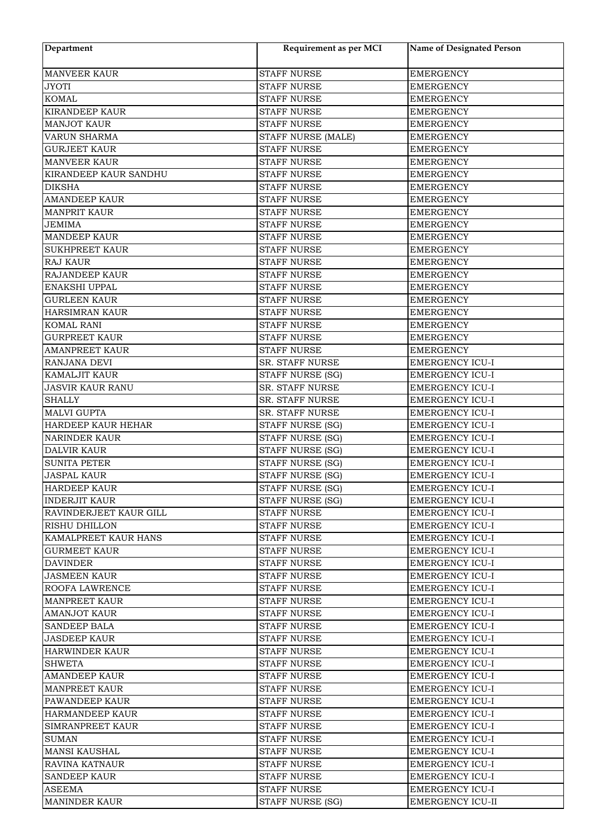| Department                  | Requirement as per MCI  | <b>Name of Designated Person</b> |
|-----------------------------|-------------------------|----------------------------------|
| <b>MANVEER KAUR</b>         | <b>STAFF NURSE</b>      | <b>EMERGENCY</b>                 |
| <b>JYOTI</b>                | <b>STAFF NURSE</b>      | <b>EMERGENCY</b>                 |
| <b>KOMAL</b>                | <b>STAFF NURSE</b>      | <b>EMERGENCY</b>                 |
| <b>KIRANDEEP KAUR</b>       | <b>STAFF NURSE</b>      | <b>EMERGENCY</b>                 |
| <b>MANJOT KAUR</b>          | <b>STAFF NURSE</b>      | <b>EMERGENCY</b>                 |
| <b>VARUN SHARMA</b>         | STAFF NURSE (MALE)      | <b>EMERGENCY</b>                 |
| <b>GURJEET KAUR</b>         | <b>STAFF NURSE</b>      | <b>EMERGENCY</b>                 |
| <b>MANVEER KAUR</b>         | <b>STAFF NURSE</b>      | <b>EMERGENCY</b>                 |
| KIRANDEEP KAUR SANDHU       | <b>STAFF NURSE</b>      | <b>EMERGENCY</b>                 |
| <b>DIKSHA</b>               | <b>STAFF NURSE</b>      | <b>EMERGENCY</b>                 |
| <b>AMANDEEP KAUR</b>        | <b>STAFF NURSE</b>      | <b>EMERGENCY</b>                 |
| <b>MANPRIT KAUR</b>         | <b>STAFF NURSE</b>      | <b>EMERGENCY</b>                 |
| <b>JEMIMA</b>               | <b>STAFF NURSE</b>      | <b>EMERGENCY</b>                 |
| <b>MANDEEP KAUR</b>         | <b>STAFF NURSE</b>      | <b>EMERGENCY</b>                 |
| <b>SUKHPREET KAUR</b>       | <b>STAFF NURSE</b>      | <b>EMERGENCY</b>                 |
| <b>RAJ KAUR</b>             | <b>STAFF NURSE</b>      | <b>EMERGENCY</b>                 |
| RAJANDEEP KAUR              | <b>STAFF NURSE</b>      | <b>EMERGENCY</b>                 |
| ENAKSHI UPPAL               | <b>STAFF NURSE</b>      | <b>EMERGENCY</b>                 |
| <b>GURLEEN KAUR</b>         | <b>STAFF NURSE</b>      | <b>EMERGENCY</b>                 |
| <b>HARSIMRAN KAUR</b>       | <b>STAFF NURSE</b>      | <b>EMERGENCY</b>                 |
| <b>KOMAL RANI</b>           | <b>STAFF NURSE</b>      | <b>EMERGENCY</b>                 |
| <b>GURPREET KAUR</b>        | <b>STAFF NURSE</b>      | <b>EMERGENCY</b>                 |
| <b>AMANPREET KAUR</b>       | <b>STAFF NURSE</b>      | <b>EMERGENCY</b>                 |
| <b>RANJANA DEVI</b>         | SR. STAFF NURSE         | <b>EMERGENCY ICU-I</b>           |
| <b>KAMALJIT KAUR</b>        | STAFF NURSE (SG)        | <b>EMERGENCY ICU-I</b>           |
| <b>JASVIR KAUR RANU</b>     | SR. STAFF NURSE         | EMERGENCY ICU-I                  |
| <b>SHALLY</b>               | SR. STAFF NURSE         | <b>EMERGENCY ICU-I</b>           |
| <b>MALVI GUPTA</b>          | SR. STAFF NURSE         | <b>EMERGENCY ICU-I</b>           |
| <b>HARDEEP KAUR HEHAR</b>   | STAFF NURSE (SG)        | <b>EMERGENCY ICU-I</b>           |
| <b>NARINDER KAUR</b>        | STAFF NURSE (SG)        | <b>EMERGENCY ICU-I</b>           |
| <b>DALVIR KAUR</b>          | <b>STAFF NURSE (SG)</b> | EMERGENCY ICU-I                  |
| <b>SUNITA PETER</b>         | STAFF NURSE (SG)        | EMERGENCY ICU-I                  |
| <b>JASPAL KAUR</b>          | STAFF NURSE (SG)        | <b>EMERGENCY ICU-I</b>           |
| <b>HARDEEP KAUR</b>         | STAFF NURSE (SG)        | <b>EMERGENCY ICU-I</b>           |
| <b>INDERJIT KAUR</b>        | STAFF NURSE (SG)        | <b>EMERGENCY ICU-I</b>           |
| RAVINDERJEET KAUR GILL      | <b>STAFF NURSE</b>      | <b>EMERGENCY ICU-I</b>           |
| <b>RISHU DHILLON</b>        | <b>STAFF NURSE</b>      | <b>EMERGENCY ICU-I</b>           |
| <b>KAMALPREET KAUR HANS</b> | STAFF NURSE             | EMERGENCY ICU-I                  |
| <b>GURMEET KAUR</b>         | <b>STAFF NURSE</b>      | <b>EMERGENCY ICU-I</b>           |
| <b>DAVINDER</b>             | <b>STAFF NURSE</b>      | <b>EMERGENCY ICU-I</b>           |
| <b>JASMEEN KAUR</b>         | <b>STAFF NURSE</b>      | <b>EMERGENCY ICU-I</b>           |
| <b>ROOFA LAWRENCE</b>       | <b>STAFF NURSE</b>      | <b>EMERGENCY ICU-I</b>           |
| <b>MANPREET KAUR</b>        | <b>STAFF NURSE</b>      | <b>EMERGENCY ICU-I</b>           |
| <b>AMANJOT KAUR</b>         | STAFF NURSE             | <b>EMERGENCY ICU-I</b>           |
| <b>SANDEEP BALA</b>         | <b>STAFF NURSE</b>      | <b>EMERGENCY ICU-I</b>           |
| <b>JASDEEP KAUR</b>         | <b>STAFF NURSE</b>      | <b>EMERGENCY ICU-I</b>           |
| <b>HARWINDER KAUR</b>       | <b>STAFF NURSE</b>      | <b>EMERGENCY ICU-I</b>           |
| <b>SHWETA</b>               | <b>STAFF NURSE</b>      | EMERGENCY ICU-I                  |
| <b>AMANDEEP KAUR</b>        | <b>STAFF NURSE</b>      | <b>EMERGENCY ICU-I</b>           |
| <b>MANPREET KAUR</b>        | <b>STAFF NURSE</b>      | <b>EMERGENCY ICU-I</b>           |
| PAWANDEEP KAUR              | <b>STAFF NURSE</b>      | <b>EMERGENCY ICU-I</b>           |
| <b>HARMANDEEP KAUR</b>      | <b>STAFF NURSE</b>      | <b>EMERGENCY ICU-I</b>           |
| <b>SIMRANPREET KAUR</b>     | <b>STAFF NURSE</b>      | <b>EMERGENCY ICU-I</b>           |
| <b>SUMAN</b>                | <b>STAFF NURSE</b>      | <b>EMERGENCY ICU-I</b>           |
| MANSI KAUSHAL               | <b>STAFF NURSE</b>      | <b>EMERGENCY ICU-I</b>           |
| <b>RAVINA KATNAUR</b>       | <b>STAFF NURSE</b>      | <b>EMERGENCY ICU-I</b>           |
| <b>SANDEEP KAUR</b>         | <b>STAFF NURSE</b>      | <b>EMERGENCY ICU-I</b>           |
| <b>ASEEMA</b>               | <b>STAFF NURSE</b>      | <b>EMERGENCY ICU-I</b>           |
| <b>MANINDER KAUR</b>        | STAFF NURSE (SG)        | EMERGENCY ICU-II                 |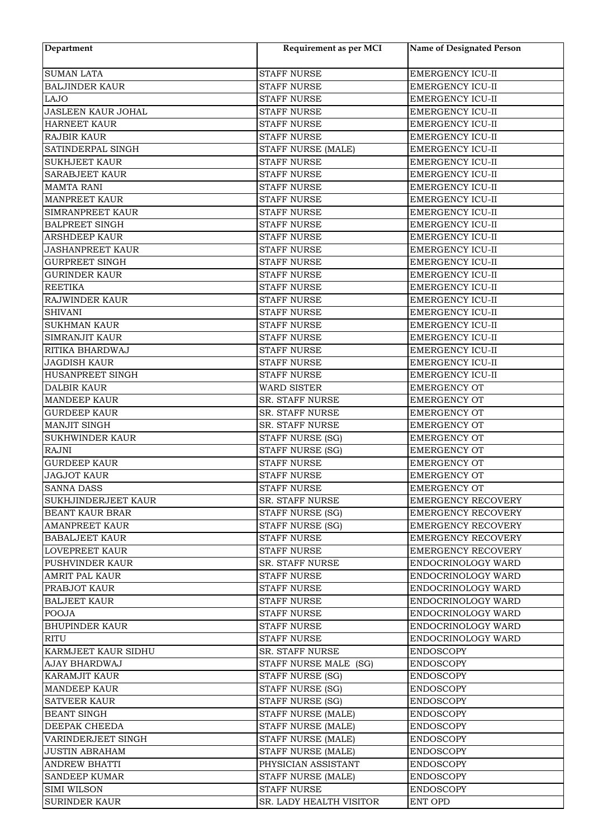| Department                          | Requirement as per MCI                   | <b>Name of Designated Person</b>     |
|-------------------------------------|------------------------------------------|--------------------------------------|
| <b>SUMAN LATA</b>                   | <b>STAFF NURSE</b>                       | <b>EMERGENCY ICU-II</b>              |
| <b>BALJINDER KAUR</b>               | <b>STAFF NURSE</b>                       | EMERGENCY ICU-II                     |
| <b>LAJO</b>                         | <b>STAFF NURSE</b>                       | EMERGENCY ICU-II                     |
| JASLEEN KAUR JOHAL                  | <b>STAFF NURSE</b>                       | EMERGENCY ICU-II                     |
| <b>HARNEET KAUR</b>                 | <b>STAFF NURSE</b>                       | EMERGENCY ICU-II                     |
| <b>RAJBIR KAUR</b>                  | <b>STAFF NURSE</b>                       | EMERGENCY ICU-II                     |
| SATINDERPAL SINGH                   | STAFF NURSE (MALE)                       | <b>EMERGENCY ICU-II</b>              |
| <b>SUKHJEET KAUR</b>                | <b>STAFF NURSE</b>                       | <b>EMERGENCY ICU-II</b>              |
| <b>SARABJEET KAUR</b>               | <b>STAFF NURSE</b>                       | EMERGENCY ICU-II                     |
| <b>MAMTA RANI</b>                   | <b>STAFF NURSE</b>                       | EMERGENCY ICU-II                     |
| <b>MANPREET KAUR</b>                | <b>STAFF NURSE</b>                       | <b>EMERGENCY ICU-II</b>              |
| SIMRANPREET KAUR                    | <b>STAFF NURSE</b>                       | EMERGENCY ICU-II                     |
| <b>BALPREET SINGH</b>               | <b>STAFF NURSE</b>                       | <b>EMERGENCY ICU-II</b>              |
| <b>ARSHDEEP KAUR</b>                | <b>STAFF NURSE</b>                       | EMERGENCY ICU-II                     |
| <b>JASHANPREET KAUR</b>             | <b>STAFF NURSE</b>                       | EMERGENCY ICU-II                     |
| <b>GURPREET SINGH</b>               | <b>STAFF NURSE</b>                       | <b>EMERGENCY ICU-II</b>              |
| <b>GURINDER KAUR</b>                | <b>STAFF NURSE</b>                       | <b>EMERGENCY ICU-II</b>              |
| <b>REETIKA</b>                      | <b>STAFF NURSE</b>                       | <b>EMERGENCY ICU-II</b>              |
| RAJWINDER KAUR                      | <b>STAFF NURSE</b>                       | <b>EMERGENCY ICU-II</b>              |
| <b>SHIVANI</b>                      | <b>STAFF NURSE</b>                       | EMERGENCY ICU-II                     |
| <b>SUKHMAN KAUR</b>                 | <b>STAFF NURSE</b>                       | EMERGENCY ICU-II                     |
| SIMRANJIT KAUR                      | <b>STAFF NURSE</b>                       | EMERGENCY ICU-II                     |
| RITIKA BHARDWAJ                     | <b>STAFF NURSE</b>                       | EMERGENCY ICU-II                     |
| <b>JAGDISH KAUR</b>                 | <b>STAFF NURSE</b>                       | EMERGENCY ICU-II                     |
| HUSANPREET SINGH                    | <b>STAFF NURSE</b>                       | EMERGENCY ICU-II                     |
| <b>DALBIR KAUR</b>                  | <b>WARD SISTER</b>                       | <b>EMERGENCY OT</b>                  |
| <b>MANDEEP KAUR</b>                 | SR. STAFF NURSE                          | <b>EMERGENCY OT</b>                  |
| <b>GURDEEP KAUR</b>                 | SR. STAFF NURSE                          | <b>EMERGENCY OT</b>                  |
| MANJIT SINGH                        | SR. STAFF NURSE                          | <b>EMERGENCY OT</b>                  |
| <b>SUKHWINDER KAUR</b>              | STAFF NURSE (SG)                         | <b>EMERGENCY OT</b>                  |
| <b>RAJNI</b>                        | STAFF NURSE (SG)                         | <b>EMERGENCY OT</b>                  |
| <b>GURDEEP KAUR</b>                 | <b>STAFF NURSE</b>                       | <b>EMERGENCY OT</b>                  |
| <b>JAGJOT KAUR</b>                  | <b>STAFF NURSE</b>                       | <b>EMERGENCY OT</b>                  |
| <b>SANNA DASS</b>                   | STAFF NURSE                              | <b>EMERGENCY OT</b>                  |
| SUKHJINDERJEET KAUR                 | SR. STAFF NURSE                          | <b>EMERGENCY RECOVERY</b>            |
| <b>BEANT KAUR BRAR</b>              | STAFF NURSE (SG)                         | <b>EMERGENCY RECOVERY</b>            |
| <b>AMANPREET KAUR</b>               | STAFF NURSE (SG)                         | <b>EMERGENCY RECOVERY</b>            |
| <b>BABALJEET KAUR</b>               | <b>STAFF NURSE</b>                       | <b>EMERGENCY RECOVERY</b>            |
| <b>LOVEPREET KAUR</b>               | <b>STAFF NURSE</b>                       | <b>EMERGENCY RECOVERY</b>            |
| PUSHVINDER KAUR                     | <b>SR. STAFF NURSE</b>                   | ENDOCRINOLOGY WARD                   |
| <b>AMRIT PAL KAUR</b>               | <b>STAFF NURSE</b>                       | ENDOCRINOLOGY WARD                   |
| PRABJOT KAUR                        | <b>STAFF NURSE</b>                       | ENDOCRINOLOGY WARD                   |
| <b>BALJEET KAUR</b>                 | <b>STAFF NURSE</b>                       | ENDOCRINOLOGY WARD                   |
| <b>POOJA</b>                        | STAFF NURSE                              | ENDOCRINOLOGY WARD                   |
| <b>BHUPINDER KAUR</b>               | STAFF NURSE                              | ENDOCRINOLOGY WARD                   |
| <b>RITU</b>                         | <b>STAFF NURSE</b>                       | ENDOCRINOLOGY WARD                   |
| KARMJEET KAUR SIDHU                 | SR. STAFF NURSE                          | <b>ENDOSCOPY</b>                     |
| AJAY BHARDWAJ                       | STAFF NURSE MALE (SG)                    | <b>ENDOSCOPY</b>                     |
| <b>KARAMJIT KAUR</b>                |                                          |                                      |
| <b>MANDEEP KAUR</b>                 | STAFF NURSE (SG)                         | <b>ENDOSCOPY</b>                     |
| <b>SATVEER KAUR</b>                 | STAFF NURSE (SG)<br>STAFF NURSE (SG)     | <b>ENDOSCOPY</b><br><b>ENDOSCOPY</b> |
| <b>BEANT SINGH</b>                  | STAFF NURSE (MALE)                       | <b>ENDOSCOPY</b>                     |
| <b>DEEPAK CHEEDA</b>                | STAFF NURSE (MALE)                       | <b>ENDOSCOPY</b>                     |
| VARINDERJEET SINGH                  |                                          |                                      |
|                                     | STAFF NURSE (MALE)                       | ENDOSCOPY                            |
| <b>JUSTIN ABRAHAM</b>               | STAFF NURSE (MALE)                       | ENDOSCOPY                            |
| <b>ANDREW BHATTI</b>                | PHYSICIAN ASSISTANT                      | <b>ENDOSCOPY</b>                     |
| <b>SANDEEP KUMAR</b><br>SIMI WILSON | STAFF NURSE (MALE)<br><b>STAFF NURSE</b> | <b>ENDOSCOPY</b><br><b>ENDOSCOPY</b> |
| <b>SURINDER KAUR</b>                | SR. LADY HEALTH VISITOR                  | ENT OPD                              |
|                                     |                                          |                                      |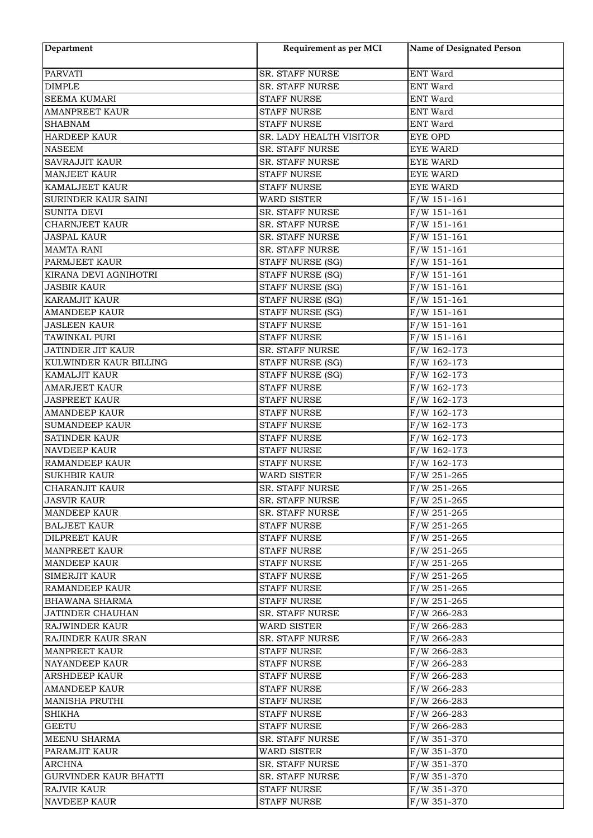| Department                   | Requirement as per MCI  | <b>Name of Designated Person</b> |
|------------------------------|-------------------------|----------------------------------|
| <b>PARVATI</b>               | SR. STAFF NURSE         | ENT Ward                         |
| <b>DIMPLE</b>                | SR. STAFF NURSE         | <b>ENT Ward</b>                  |
| <b>SEEMA KUMARI</b>          | <b>STAFF NURSE</b>      | <b>ENT Ward</b>                  |
| <b>AMANPREET KAUR</b>        | <b>STAFF NURSE</b>      | <b>ENT Ward</b>                  |
| <b>SHABNAM</b>               | <b>STAFF NURSE</b>      | ENT Ward                         |
| <b>HARDEEP KAUR</b>          | SR. LADY HEALTH VISITOR | <b>EYE OPD</b>                   |
| <b>NASEEM</b>                | SR. STAFF NURSE         | <b>EYE WARD</b>                  |
| <b>SAVRAJJIT KAUR</b>        | SR. STAFF NURSE         | <b>EYE WARD</b>                  |
| <b>MANJEET KAUR</b>          | <b>STAFF NURSE</b>      | <b>EYE WARD</b>                  |
| KAMALJEET KAUR               | <b>STAFF NURSE</b>      | <b>EYE WARD</b>                  |
| SURINDER KAUR SAINI          | <b>WARD SISTER</b>      | $F/W$ 151-161                    |
| SUNITA DEVI                  | SR. STAFF NURSE         | $F/W$ 151-161                    |
| <b>CHARNJEET KAUR</b>        | SR. STAFF NURSE         | $F/W$ 151-161                    |
| <b>JASPAL KAUR</b>           | SR. STAFF NURSE         | $F/W$ 151-161                    |
| <b>MAMTA RANI</b>            | SR. STAFF NURSE         | $F/W$ 151-161                    |
| PARMJEET KAUR                | STAFF NURSE (SG)        | $F/W$ 151-161                    |
| KIRANA DEVI AGNIHOTRI        | STAFF NURSE (SG)        | $F/W$ 151-161                    |
| <b>JASBIR KAUR</b>           |                         | $F/W$ 151-161                    |
| <b>KARAMJIT KAUR</b>         | STAFF NURSE (SG)        |                                  |
|                              | STAFF NURSE (SG)        | $F/W$ 151-161                    |
| <b>AMANDEEP KAUR</b>         | STAFF NURSE (SG)        | $F/W$ 151-161                    |
| <b>JASLEEN KAUR</b>          | <b>STAFF NURSE</b>      | $F/W$ 151-161                    |
| TAWINKAL PURI                | <b>STAFF NURSE</b>      | $F/W$ 151-161                    |
| <b>JATINDER JIT KAUR</b>     | SR. STAFF NURSE         | $F/W$ 162-173                    |
| KULWINDER KAUR BILLING       | STAFF NURSE (SG)        | $F/W$ 162-173                    |
| KAMALJIT KAUR                | STAFF NURSE (SG)        | $F/W$ 162-173                    |
| <b>AMARJEET KAUR</b>         | <b>STAFF NURSE</b>      | $F/W$ 162-173                    |
| <b>JASPREET KAUR</b>         | <b>STAFF NURSE</b>      | $F/W$ 162-173                    |
| <b>AMANDEEP KAUR</b>         | <b>STAFF NURSE</b>      | $F/W$ 162-173                    |
| <b>SUMANDEEP KAUR</b>        | <b>STAFF NURSE</b>      | $F/W$ 162-173                    |
| <b>SATINDER KAUR</b>         | <b>STAFF NURSE</b>      | $F/W$ 162-173                    |
| <b>NAVDEEP KAUR</b>          | <b>STAFF NURSE</b>      | $F/W$ 162-173                    |
| RAMANDEEP KAUR               | <b>STAFF NURSE</b>      | $F/W$ 162-173                    |
| <b>SUKHBIR KAUR</b>          | WARD SISTER             | $F/W 251 - 265$                  |
| CHARANJIT KAUR               | SR. STAFF NURSE         | $F/W 251 - 265$                  |
| <b>JASVIR KAUR</b>           | SR. STAFF NURSE         | $F/W 251 - 265$                  |
| <b>MANDEEP KAUR</b>          | SR. STAFF NURSE         | F/W 251-265                      |
| <b>BALJEET KAUR</b>          | STAFF NURSE             | $F/W 251 - 265$                  |
| DILPREET KAUR                | <b>STAFF NURSE</b>      | $F/W 251 - 265$                  |
| <b>MANPREET KAUR</b>         | STAFF NURSE             | $F/W 251 - 265$                  |
| <b>MANDEEP KAUR</b>          | <b>STAFF NURSE</b>      | $F/W 251 - 265$                  |
| <b>SIMERJIT KAUR</b>         | <b>STAFF NURSE</b>      | $F/W$ 251-265                    |
| <b>RAMANDEEP KAUR</b>        | <b>STAFF NURSE</b>      | $F/W$ 251-265                    |
| <b>BHAWANA SHARMA</b>        | STAFF NURSE             | F/W 251-265                      |
| JATINDER CHAUHAN             | SR. STAFF NURSE         | $F/W$ 266-283                    |
| <b>RAJWINDER KAUR</b>        | <b>WARD SISTER</b>      | $F/W$ 266-283                    |
| RAJINDER KAUR SRAN           | <b>SR. STAFF NURSE</b>  | $F/W$ 266-283                    |
| <b>MANPREET KAUR</b>         | <b>STAFF NURSE</b>      | $F/W$ 266-283                    |
| NAYANDEEP KAUR               | STAFF NURSE             | F/W 266-283                      |
| <b>ARSHDEEP KAUR</b>         | <b>STAFF NURSE</b>      | $F/W$ 266-283                    |
| <b>AMANDEEP KAUR</b>         | STAFF NURSE             | $F/W$ 266-283                    |
| <b>MANISHA PRUTHI</b>        | <b>STAFF NURSE</b>      | $F/W$ 266-283                    |
| <b>SHIKHA</b>                | <b>STAFF NURSE</b>      | $F/W$ 266-283                    |
| <b>GEETU</b>                 | STAFF NURSE             | $F/W$ 266-283                    |
| <b>MEENU SHARMA</b>          | SR. STAFF NURSE         | F/W 351-370                      |
| PARAMJIT KAUR                | <b>WARD SISTER</b>      | $F/W$ 351-370                    |
| ARCHNA                       | <b>SR. STAFF NURSE</b>  | F/W 351-370                      |
| <b>GURVINDER KAUR BHATTI</b> | <b>SR. STAFF NURSE</b>  | F/W 351-370                      |
| RAJVIR KAUR                  | STAFF NURSE             | F/W 351-370                      |
| <b>NAVDEEP KAUR</b>          | STAFF NURSE             | $F/W$ 351-370                    |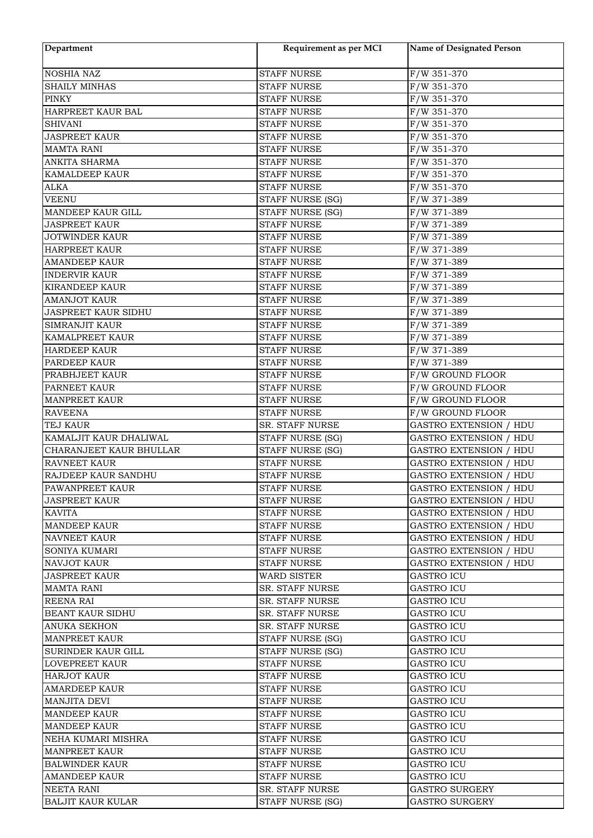| Department                 | Requirement as per MCI  | Name of Designated Person     |
|----------------------------|-------------------------|-------------------------------|
| <b>NOSHIA NAZ</b>          | <b>STAFF NURSE</b>      | $F/W$ 351-370                 |
| <b>SHAILY MINHAS</b>       | <b>STAFF NURSE</b>      | $F/W$ 351-370                 |
| <b>PINKY</b>               | <b>STAFF NURSE</b>      | F/W 351-370                   |
| HARPREET KAUR BAL          | <b>STAFF NURSE</b>      | F/W 351-370                   |
| <b>SHIVANI</b>             | <b>STAFF NURSE</b>      | $F/W$ 351-370                 |
| <b>JASPREET KAUR</b>       | <b>STAFF NURSE</b>      | F/W 351-370                   |
| <b>MAMTA RANI</b>          | <b>STAFF NURSE</b>      | F/W 351-370                   |
| ANKITA SHARMA              | <b>STAFF NURSE</b>      | F/W 351-370                   |
| <b>KAMALDEEP KAUR</b>      | <b>STAFF NURSE</b>      | F/W 351-370                   |
| <b>ALKA</b>                | <b>STAFF NURSE</b>      | $F/W$ 351-370                 |
| <b>VEENU</b>               | STAFF NURSE (SG)        | F/W 371-389                   |
| MANDEEP KAUR GILL          | STAFF NURSE (SG)        | F/W 371-389                   |
| <b>JASPREET KAUR</b>       | <b>STAFF NURSE</b>      | F/W 371-389                   |
| <b>JOTWINDER KAUR</b>      | <b>STAFF NURSE</b>      | F/W 371-389                   |
| <b>HARPREET KAUR</b>       | <b>STAFF NURSE</b>      | F/W 371-389                   |
| <b>AMANDEEP KAUR</b>       | <b>STAFF NURSE</b>      | F/W 371-389                   |
| <b>INDERVIR KAUR</b>       | <b>STAFF NURSE</b>      | F/W 371-389                   |
| <b>KIRANDEEP KAUR</b>      | <b>STAFF NURSE</b>      | F/W 371-389                   |
| <b>AMANJOT KAUR</b>        | <b>STAFF NURSE</b>      | F/W 371-389                   |
| <b>JASPREET KAUR SIDHU</b> | <b>STAFF NURSE</b>      | F/W 371-389                   |
| SIMRANJIT KAUR             | <b>STAFF NURSE</b>      | F/W 371-389                   |
| KAMALPREET KAUR            | <b>STAFF NURSE</b>      | F/W 371-389                   |
| <b>HARDEEP KAUR</b>        | <b>STAFF NURSE</b>      | F/W 371-389                   |
| PARDEEP KAUR               | <b>STAFF NURSE</b>      | F/W 371-389                   |
| PRABHJEET KAUR             | <b>STAFF NURSE</b>      | F/W GROUND FLOOR              |
| PARNEET KAUR               | <b>STAFF NURSE</b>      | F/W GROUND FLOOR              |
| <b>MANPREET KAUR</b>       | <b>STAFF NURSE</b>      | F/W GROUND FLOOR              |
| <b>RAVEENA</b>             | <b>STAFF NURSE</b>      | F/W GROUND FLOOR              |
| <b>TEJ KAUR</b>            | <b>SR. STAFF NURSE</b>  | <b>GASTRO EXTENSION / HDU</b> |
| KAMALJIT KAUR DHALIWAL     | STAFF NURSE (SG)        | <b>GASTRO EXTENSION / HDU</b> |
| CHARANJEET KAUR BHULLAR    | <b>STAFF NURSE (SG)</b> | <b>GASTRO EXTENSION / HDU</b> |
| <b>RAVNEET KAUR</b>        | <b>STAFF NURSE</b>      | <b>GASTRO EXTENSION / HDU</b> |
| RAJDEEP KAUR SANDHU        | <b>STAFF NURSE</b>      | <b>GASTRO EXTENSION / HDU</b> |
| PAWANPREET KAUR            | <b>STAFF NURSE</b>      | <b>GASTRO EXTENSION / HDU</b> |
| JASPREET KAUR              | STAFF NURSE             | <b>GASTRO EXTENSION / HDU</b> |
| <b>KAVITA</b>              | STAFF NURSE             | <b>GASTRO EXTENSION / HDU</b> |
| <b>MANDEEP KAUR</b>        | <b>STAFF NURSE</b>      | <b>GASTRO EXTENSION / HDU</b> |
| <b>NAVNEET KAUR</b>        | STAFF NURSE             | GASTRO EXTENSION / HDU        |
| SONIYA KUMARI              | <b>STAFF NURSE</b>      | <b>GASTRO EXTENSION / HDU</b> |
| <b>NAVJOT KAUR</b>         | <b>STAFF NURSE</b>      | <b>GASTRO EXTENSION / HDU</b> |
| <b>JASPREET KAUR</b>       | WARD SISTER             | <b>GASTRO ICU</b>             |
| <b>MAMTA RANI</b>          | <b>SR. STAFF NURSE</b>  | <b>GASTRO ICU</b>             |
| <b>REENA RAI</b>           | <b>SR. STAFF NURSE</b>  | <b>GASTRO ICU</b>             |
| <b>BEANT KAUR SIDHU</b>    | SR. STAFF NURSE         | GASTRO ICU                    |
| <b>ANUKA SEKHON</b>        | <b>SR. STAFF NURSE</b>  | <b>GASTRO ICU</b>             |
| <b>MANPREET KAUR</b>       | STAFF NURSE (SG)        | <b>GASTRO ICU</b>             |
| SURINDER KAUR GILL         | STAFF NURSE (SG)        | <b>GASTRO ICU</b>             |
| <b>LOVEPREET KAUR</b>      | <b>STAFF NURSE</b>      | <b>GASTRO ICU</b>             |
| <b>HARJOT KAUR</b>         | <b>STAFF NURSE</b>      | GASTRO ICU                    |
| <b>AMARDEEP KAUR</b>       | <b>STAFF NURSE</b>      | <b>GASTRO ICU</b>             |
| <b>MANJITA DEVI</b>        | <b>STAFF NURSE</b>      | <b>GASTRO ICU</b>             |
| <b>MANDEEP KAUR</b>        | <b>STAFF NURSE</b>      | <b>GASTRO ICU</b>             |
| <b>MANDEEP KAUR</b>        | <b>STAFF NURSE</b>      | <b>GASTRO ICU</b>             |
| NEHA KUMARI MISHRA         | STAFF NURSE             | GASTRO ICU                    |
| <b>MANPREET KAUR</b>       | STAFF NURSE             | <b>GASTRO ICU</b>             |
| <b>BALWINDER KAUR</b>      | <b>STAFF NURSE</b>      | <b>GASTRO ICU</b>             |
| <b>AMANDEEP KAUR</b>       | <b>STAFF NURSE</b>      | <b>GASTRO ICU</b>             |
| NEETA RANI                 | SR. STAFF NURSE         | GASTRO SURGERY                |
| <b>BALJIT KAUR KULAR</b>   | STAFF NURSE (SG)        | <b>GASTRO SURGERY</b>         |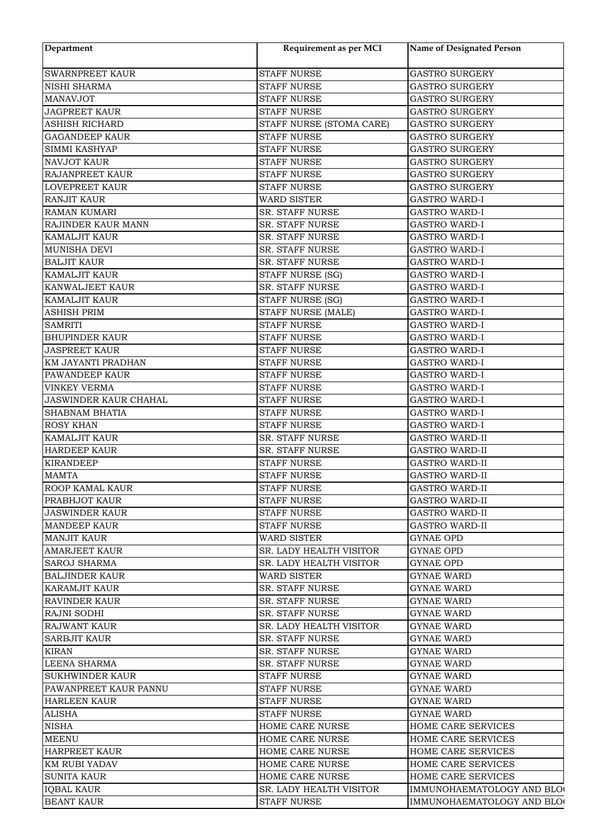| Department                                 | Requirement as per MCI                        | Name of Designated Person  |
|--------------------------------------------|-----------------------------------------------|----------------------------|
| <b>SWARNPREET KAUR</b>                     | <b>STAFF NURSE</b>                            | <b>GASTRO SURGERY</b>      |
| <b>NISHI SHARMA</b>                        | <b>STAFF NURSE</b>                            | <b>GASTRO SURGERY</b>      |
| <b>MANAVJOT</b>                            | <b>STAFF NURSE</b>                            | <b>GASTRO SURGERY</b>      |
| <b>JAGPREET KAUR</b>                       | <b>STAFF NURSE</b>                            | <b>GASTRO SURGERY</b>      |
| <b>ASHISH RICHARD</b>                      | STAFF NURSE (STOMA CARE)                      | <b>GASTRO SURGERY</b>      |
| <b>GAGANDEEP KAUR</b>                      | <b>STAFF NURSE</b>                            | <b>GASTRO SURGERY</b>      |
| SIMMI KASHYAP                              | <b>STAFF NURSE</b>                            | <b>GASTRO SURGERY</b>      |
| <b>NAVJOT KAUR</b>                         | <b>STAFF NURSE</b>                            | <b>GASTRO SURGERY</b>      |
| <b>RAJANPREET KAUR</b>                     | STAFF NURSE                                   | <b>GASTRO SURGERY</b>      |
| <b>LOVEPREET KAUR</b>                      | <b>STAFF NURSE</b>                            | <b>GASTRO SURGERY</b>      |
| <b>RANJIT KAUR</b>                         | <b>WARD SISTER</b>                            | <b>GASTRO WARD-I</b>       |
| <b>RAMAN KUMARI</b>                        | SR. STAFF NURSE                               | <b>GASTRO WARD-I</b>       |
| RAJINDER KAUR MANN                         | SR. STAFF NURSE                               | <b>GASTRO WARD-I</b>       |
| <b>KAMALJIT KAUR</b>                       | SR. STAFF NURSE                               | <b>GASTRO WARD-I</b>       |
| MUNISHA DEVI                               | <b>SR. STAFF NURSE</b>                        | <b>GASTRO WARD-I</b>       |
| <b>BALJIT KAUR</b>                         | SR. STAFF NURSE                               | <b>GASTRO WARD-I</b>       |
| <b>KAMALJIT KAUR</b>                       | STAFF NURSE (SG)                              | <b>GASTRO WARD-I</b>       |
| <b>KANWALJEET KAUR</b>                     | SR. STAFF NURSE                               | <b>GASTRO WARD-I</b>       |
|                                            |                                               |                            |
| <b>KAMALJIT KAUR</b><br><b>ASHISH PRIM</b> | STAFF NURSE (SG)<br><b>STAFF NURSE (MALE)</b> | <b>GASTRO WARD-I</b>       |
|                                            |                                               | <b>GASTRO WARD-I</b>       |
| <b>SAMRITI</b>                             | <b>STAFF NURSE</b>                            | <b>GASTRO WARD-I</b>       |
| <b>BHUPINDER KAUR</b>                      | <b>STAFF NURSE</b>                            | <b>GASTRO WARD-I</b>       |
| <b>JASPREET KAUR</b>                       | <b>STAFF NURSE</b>                            | <b>GASTRO WARD-I</b>       |
| <b>KM JAYANTI PRADHAN</b>                  | <b>STAFF NURSE</b>                            | <b>GASTRO WARD-I</b>       |
| <b>PAWANDEEP KAUR</b>                      | <b>STAFF NURSE</b>                            | <b>GASTRO WARD-I</b>       |
| <b>VINKEY VERMA</b>                        | <b>STAFF NURSE</b>                            | <b>GASTRO WARD-I</b>       |
| <b>JASWINDER KAUR CHAHAL</b>               | <b>STAFF NURSE</b>                            | <b>GASTRO WARD-I</b>       |
| <b>SHABNAM BHATIA</b>                      | <b>STAFF NURSE</b>                            | <b>GASTRO WARD-I</b>       |
| <b>ROSY KHAN</b>                           | <b>STAFF NURSE</b>                            | <b>GASTRO WARD-I</b>       |
| <b>KAMALJIT KAUR</b>                       | SR. STAFF NURSE                               | <b>GASTRO WARD-II</b>      |
| <b>HARDEEP KAUR</b>                        | <b>SR. STAFF NURSE</b>                        | <b>GASTRO WARD-II</b>      |
| <b>KIRANDEEP</b>                           | <b>STAFF NURSE</b>                            | <b>GASTRO WARD-II</b>      |
| <b>MAMTA</b>                               | <b>STAFF NURSE</b>                            | <b>GASTRO WARD-II</b>      |
| ROOP KAMAL KAUR                            | STAFF NURSE                                   | <b>GASTRO WARD-II</b>      |
| PRABHJOT KAUR                              | STAFF NURSE                                   | GASTRO WARD-II             |
| <b>JASWINDER KAUR</b>                      | <b>STAFF NURSE</b>                            | GASTRO WARD-II             |
| <b>MANDEEP KAUR</b>                        | <b>STAFF NURSE</b>                            | <b>GASTRO WARD-II</b>      |
| <b>MANJIT KAUR</b>                         | <b>WARD SISTER</b>                            | GYNAE OPD                  |
| <b>AMARJEET KAUR</b>                       | SR. LADY HEALTH VISITOR                       | GYNAE OPD                  |
| <b>SAROJ SHARMA</b>                        | SR. LADY HEALTH VISITOR                       | GYNAE OPD                  |
| <b>BALJINDER KAUR</b>                      | <b>WARD SISTER</b>                            | <b>GYNAE WARD</b>          |
| <b>KARAMJIT KAUR</b>                       | <b>SR. STAFF NURSE</b>                        | <b>GYNAE WARD</b>          |
| <b>RAVINDER KAUR</b>                       | <b>SR. STAFF NURSE</b>                        | <b>GYNAE WARD</b>          |
| <b>RAJNI SODHI</b>                         | <b>SR. STAFF NURSE</b>                        | <b>GYNAE WARD</b>          |
| <b>RAJWANT KAUR</b>                        | SR. LADY HEALTH VISITOR                       | GYNAE WARD                 |
| <b>SARBJIT KAUR</b>                        | SR. STAFF NURSE                               | GYNAE WARD                 |
| <b>KIRAN</b>                               | <b>SR. STAFF NURSE</b>                        | <b>GYNAE WARD</b>          |
| <b>LEENA SHARMA</b>                        | <b>SR. STAFF NURSE</b>                        | GYNAE WARD                 |
| <b>SUKHWINDER KAUR</b>                     | <b>STAFF NURSE</b>                            | GYNAE WARD                 |
| PAWANPREET KAUR PANNU                      | <b>STAFF NURSE</b>                            | <b>GYNAE WARD</b>          |
| <b>HARLEEN KAUR</b>                        | <b>STAFF NURSE</b>                            | <b>GYNAE WARD</b>          |
| <b>ALISHA</b>                              | <b>STAFF NURSE</b>                            | <b>GYNAE WARD</b>          |
| <b>NISHA</b>                               | <b>HOME CARE NURSE</b>                        | HOME CARE SERVICES         |
| <b>MEENU</b>                               | <b>HOME CARE NURSE</b>                        | HOME CARE SERVICES         |
| HARPREET KAUR                              | HOME CARE NURSE                               | HOME CARE SERVICES         |
| <b>KM RUBI YADAV</b>                       | <b>HOME CARE NURSE</b>                        | HOME CARE SERVICES         |
| <b>SUNITA KAUR</b>                         | HOME CARE NURSE                               | HOME CARE SERVICES         |
| <b>IQBAL KAUR</b>                          | SR. LADY HEALTH VISITOR                       | IMMUNOHAEMATOLOGY AND BLOG |
| <b>BEANT KAUR</b>                          | STAFF NURSE                                   | IMMUNOHAEMATOLOGY AND BLOG |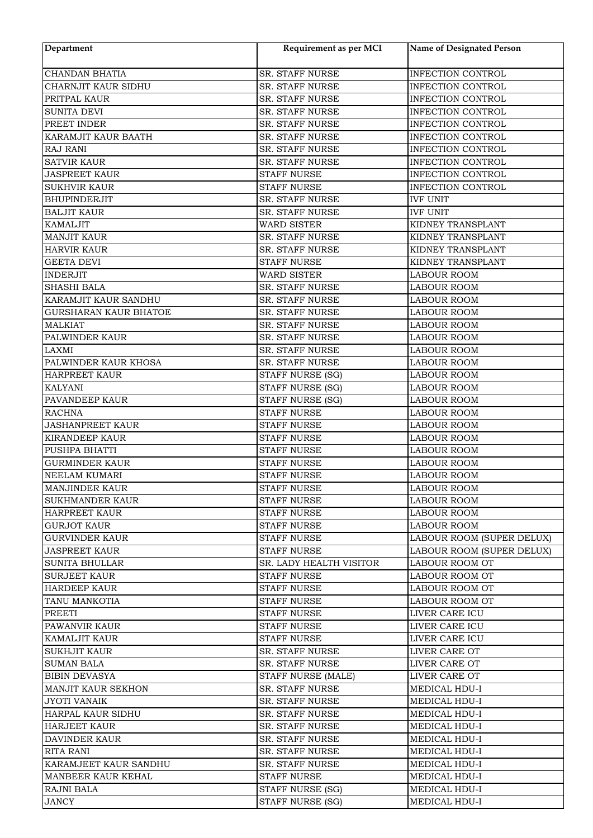| Department                   | Requirement as per MCI               | <b>Name of Designated Person</b> |
|------------------------------|--------------------------------------|----------------------------------|
| CHANDAN BHATIA               | SR. STAFF NURSE                      | INFECTION CONTROL                |
| CHARNJIT KAUR SIDHU          | SR. STAFF NURSE                      | INFECTION CONTROL                |
| PRITPAL KAUR                 | SR. STAFF NURSE                      | INFECTION CONTROL                |
| SUNITA DEVI                  | SR. STAFF NURSE                      | INFECTION CONTROL                |
| PREET INDER                  | <b>SR. STAFF NURSE</b>               | <b>INFECTION CONTROL</b>         |
| KARAMJIT KAUR BAATH          | SR. STAFF NURSE                      | INFECTION CONTROL                |
| <b>RAJ RANI</b>              | SR. STAFF NURSE                      | INFECTION CONTROL                |
| <b>SATVIR KAUR</b>           | SR. STAFF NURSE                      | INFECTION CONTROL                |
| <b>JASPREET KAUR</b>         | <b>STAFF NURSE</b>                   | <b>INFECTION CONTROL</b>         |
| <b>SUKHVIR KAUR</b>          | <b>STAFF NURSE</b>                   | INFECTION CONTROL                |
| <b>BHUPINDERJIT</b>          | SR. STAFF NURSE                      | <b>IVF UNIT</b>                  |
| <b>BALJIT KAUR</b>           | SR. STAFF NURSE                      | <b>IVF UNIT</b>                  |
| <b>KAMALJIT</b>              | <b>WARD SISTER</b>                   | KIDNEY TRANSPLANT                |
| <b>MANJIT KAUR</b>           | SR. STAFF NURSE                      | KIDNEY TRANSPLANT                |
| <b>HARVIR KAUR</b>           | <b>SR. STAFF NURSE</b>               | KIDNEY TRANSPLANT                |
| <b>GEETA DEVI</b>            | <b>STAFF NURSE</b>                   | KIDNEY TRANSPLANT                |
| <b>INDERJIT</b>              | WARD SISTER                          | <b>LABOUR ROOM</b>               |
| <b>SHASHI BALA</b>           | SR. STAFF NURSE                      | LABOUR ROOM                      |
| KARAMJIT KAUR SANDHU         | SR. STAFF NURSE                      | <b>LABOUR ROOM</b>               |
| <b>GURSHARAN KAUR BHATOE</b> | SR. STAFF NURSE                      | LABOUR ROOM                      |
| <b>MALKIAT</b>               | SR. STAFF NURSE                      | LABOUR ROOM                      |
| PALWINDER KAUR               | SR. STAFF NURSE                      | <b>LABOUR ROOM</b>               |
| <b>LAXMI</b>                 | SR. STAFF NURSE                      | <b>LABOUR ROOM</b>               |
| PALWINDER KAUR KHOSA         | SR. STAFF NURSE                      | <b>LABOUR ROOM</b>               |
| <b>HARPREET KAUR</b>         | STAFF NURSE (SG)                     | LABOUR ROOM                      |
| <b>KALYANI</b>               |                                      | LABOUR ROOM                      |
| PAVANDEEP KAUR               | STAFF NURSE (SG)<br>STAFF NURSE (SG) |                                  |
|                              |                                      | LABOUR ROOM                      |
| <b>RACHNA</b>                | <b>STAFF NURSE</b>                   | LABOUR ROOM                      |
| <b>JASHANPREET KAUR</b>      | <b>STAFF NURSE</b>                   | <b>LABOUR ROOM</b>               |
| <b>KIRANDEEP KAUR</b>        | <b>STAFF NURSE</b>                   | LABOUR ROOM                      |
| PUSHPA BHATTI                | <b>STAFF NURSE</b>                   | LABOUR ROOM                      |
| <b>GURMINDER KAUR</b>        | <b>STAFF NURSE</b>                   | <b>LABOUR ROOM</b>               |
| NEELAM KUMARI                | <b>STAFF NURSE</b>                   | <b>LABOUR ROOM</b>               |
| <b>MANJINDER KAUR</b>        | <b>STAFF NURSE</b>                   | <b>LABOUR ROOM</b>               |
| <b>SUKHMANDER KAUR</b>       | <b>STAFF NURSE</b>                   | LABOUR ROOM                      |
| <b>HARPREET KAUR</b>         | <b>STAFF NURSE</b>                   | <b>LABOUR ROOM</b>               |
| <b>GURJOT KAUR</b>           | <b>STAFF NURSE</b>                   | LABOUR ROOM                      |
| <b>GURVINDER KAUR</b>        | <b>STAFF NURSE</b>                   | LABOUR ROOM (SUPER DELUX)        |
| <b>JASPREET KAUR</b>         | <b>STAFF NURSE</b>                   | LABOUR ROOM (SUPER DELUX)        |
| <b>SUNITA BHULLAR</b>        | SR. LADY HEALTH VISITOR              | LABOUR ROOM OT                   |
| <b>SURJEET KAUR</b>          | <b>STAFF NURSE</b>                   | LABOUR ROOM OT                   |
| <b>HARDEEP KAUR</b>          | <b>STAFF NURSE</b>                   | LABOUR ROOM OT                   |
| TANU MANKOTIA                | <b>STAFF NURSE</b>                   | <b>LABOUR ROOM OT</b>            |
| PREETI                       | STAFF NURSE                          | LIVER CARE ICU                   |
| PAWANVIR KAUR                | STAFF NURSE                          | LIVER CARE ICU                   |
| <b>KAMALJIT KAUR</b>         | <b>STAFF NURSE</b>                   | LIVER CARE ICU                   |
| <b>SUKHJIT KAUR</b>          | SR. STAFF NURSE                      | LIVER CARE OT                    |
| <b>SUMAN BALA</b>            | SR. STAFF NURSE                      | LIVER CARE OT                    |
| <b>BIBIN DEVASYA</b>         | STAFF NURSE (MALE)                   | LIVER CARE OT                    |
| MANJIT KAUR SEKHON           | <b>SR. STAFF NURSE</b>               | MEDICAL HDU-I                    |
| <b>JYOTI VANAIK</b>          | SR. STAFF NURSE                      | MEDICAL HDU-I                    |
| HARPAL KAUR SIDHU            | SR. STAFF NURSE                      | MEDICAL HDU-I                    |
| <b>HARJEET KAUR</b>          | SR. STAFF NURSE                      | MEDICAL HDU-I                    |
| DAVINDER KAUR                | SR. STAFF NURSE                      | <b>MEDICAL HDU-I</b>             |
| RITA RANI                    | <b>SR. STAFF NURSE</b>               | MEDICAL HDU-I                    |
| KARAMJEET KAUR SANDHU        | <b>SR. STAFF NURSE</b>               | <b>MEDICAL HDU-I</b>             |
| MANBEER KAUR KEHAL           | <b>STAFF NURSE</b>                   | MEDICAL HDU-I                    |
| <b>RAJNI BALA</b>            | STAFF NURSE (SG)                     | MEDICAL HDU-I                    |
| JANCY                        | STAFF NURSE (SG)                     | MEDICAL HDU-I                    |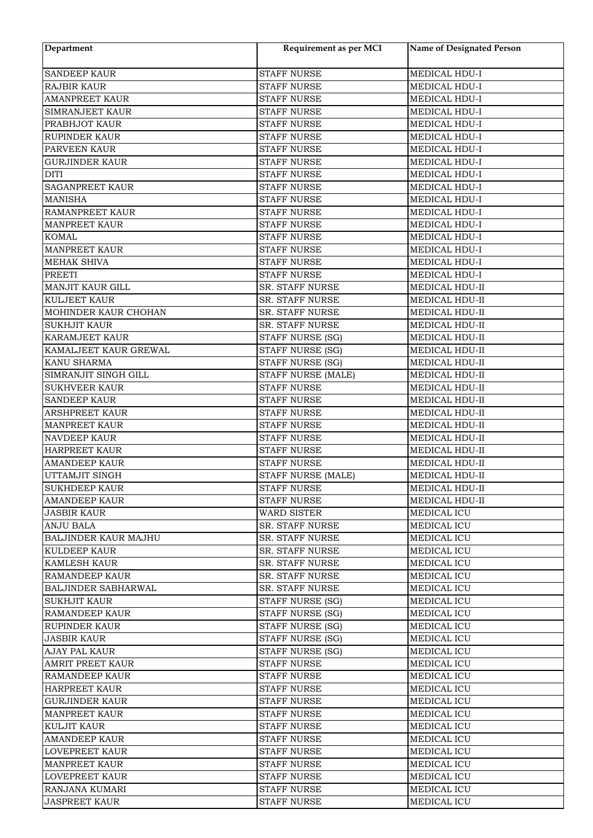| Department                  | Requirement as per MCI  | <b>Name of Designated Person</b> |
|-----------------------------|-------------------------|----------------------------------|
| <b>SANDEEP KAUR</b>         | <b>STAFF NURSE</b>      | MEDICAL HDU-I                    |
| <b>RAJBIR KAUR</b>          | <b>STAFF NURSE</b>      | MEDICAL HDU-I                    |
| <b>AMANPREET KAUR</b>       | <b>STAFF NURSE</b>      | MEDICAL HDU-I                    |
| SIMRANJEET KAUR             | <b>STAFF NURSE</b>      | MEDICAL HDU-I                    |
| PRABHJOT KAUR               | <b>STAFF NURSE</b>      | MEDICAL HDU-I                    |
| <b>RUPINDER KAUR</b>        | <b>STAFF NURSE</b>      | MEDICAL HDU-I                    |
| PARVEEN KAUR                | <b>STAFF NURSE</b>      | MEDICAL HDU-I                    |
| <b>GURJINDER KAUR</b>       | <b>STAFF NURSE</b>      | MEDICAL HDU-I                    |
| <b>DITI</b>                 | <b>STAFF NURSE</b>      | MEDICAL HDU-I                    |
| <b>SAGANPREET KAUR</b>      | <b>STAFF NURSE</b>      | MEDICAL HDU-I                    |
| <b>MANISHA</b>              | <b>STAFF NURSE</b>      | MEDICAL HDU-I                    |
| <b>RAMANPREET KAUR</b>      | <b>STAFF NURSE</b>      | MEDICAL HDU-I                    |
| <b>MANPREET KAUR</b>        | <b>STAFF NURSE</b>      | MEDICAL HDU-I                    |
| <b>KOMAL</b>                | <b>STAFF NURSE</b>      | MEDICAL HDU-I                    |
| <b>MANPREET KAUR</b>        | <b>STAFF NURSE</b>      | MEDICAL HDU-I                    |
| <b>MEHAK SHIVA</b>          | <b>STAFF NURSE</b>      | MEDICAL HDU-I                    |
| <b>PREETI</b>               | <b>STAFF NURSE</b>      | MEDICAL HDU-I                    |
| MANJIT KAUR GILL            | SR. STAFF NURSE         | MEDICAL HDU-II                   |
| <b>KULJEET KAUR</b>         | SR. STAFF NURSE         | MEDICAL HDU-II                   |
| MOHINDER KAUR CHOHAN        | SR. STAFF NURSE         | MEDICAL HDU-II                   |
| <b>SUKHJIT KAUR</b>         | SR. STAFF NURSE         | MEDICAL HDU-II                   |
| KARAMJEET KAUR              | STAFF NURSE (SG)        | MEDICAL HDU-II                   |
| KAMALJEET KAUR GREWAL       | STAFF NURSE (SG)        | MEDICAL HDU-II                   |
| KANU SHARMA                 | <b>STAFF NURSE (SG)</b> | MEDICAL HDU-II                   |
| SIMRANJIT SINGH GILL        | STAFF NURSE (MALE)      | MEDICAL HDU-II                   |
| <b>SUKHVEER KAUR</b>        | <b>STAFF NURSE</b>      | MEDICAL HDU-II                   |
| <b>SANDEEP KAUR</b>         | <b>STAFF NURSE</b>      | MEDICAL HDU-II                   |
| <b>ARSHPREET KAUR</b>       | <b>STAFF NURSE</b>      | MEDICAL HDU-II                   |
| <b>MANPREET KAUR</b>        | <b>STAFF NURSE</b>      | MEDICAL HDU-II                   |
| <b>NAVDEEP KAUR</b>         | <b>STAFF NURSE</b>      | MEDICAL HDU-II                   |
| HARPREET KAUR               | <b>STAFF NURSE</b>      | MEDICAL HDU-II                   |
| <b>AMANDEEP KAUR</b>        | <b>STAFF NURSE</b>      | MEDICAL HDU-II                   |
| UTTAMJIT SINGH              | STAFF NURSE (MALE)      | MEDICAL HDU-II                   |
| <b>SUKHDEEP KAUR</b>        | STAFF NURSE             | MEDICAL HDU-II                   |
| <b>AMANDEEP KAUR</b>        | <b>STAFF NURSE</b>      | MEDICAL HDU-II                   |
| <b>JASBIR KAUR</b>          | <b>WARD SISTER</b>      | MEDICAL ICU                      |
| <b>ANJU BALA</b>            | SR. STAFF NURSE         | MEDICAL ICU                      |
| <b>BALJINDER KAUR MAJHU</b> | SR. STAFF NURSE         | MEDICAL ICU                      |
| <b>KULDEEP KAUR</b>         | <b>SR. STAFF NURSE</b>  | MEDICAL ICU                      |
| <b>KAMLESH KAUR</b>         | <b>SR. STAFF NURSE</b>  | MEDICAL ICU                      |
| <b>RAMANDEEP KAUR</b>       | <b>SR. STAFF NURSE</b>  | MEDICAL ICU                      |
| <b>BALJINDER SABHARWAL</b>  | <b>SR. STAFF NURSE</b>  | MEDICAL ICU                      |
| <b>SUKHJIT KAUR</b>         | STAFF NURSE (SG)        | <b>MEDICAL ICU</b>               |
| <b>RAMANDEEP KAUR</b>       | STAFF NURSE (SG)        | <b>MEDICAL ICU</b>               |
| <b>RUPINDER KAUR</b>        | STAFF NURSE (SG)        | MEDICAL ICU                      |
| <b>JASBIR KAUR</b>          | STAFF NURSE (SG)        | MEDICAL ICU                      |
| AJAY PAL KAUR               | STAFF NURSE (SG)        | MEDICAL ICU                      |
| <b>AMRIT PREET KAUR</b>     | <b>STAFF NURSE</b>      | MEDICAL ICU                      |
| <b>RAMANDEEP KAUR</b>       | <b>STAFF NURSE</b>      | MEDICAL ICU                      |
| <b>HARPREET KAUR</b>        | <b>STAFF NURSE</b>      | MEDICAL ICU                      |
| <b>GURJINDER KAUR</b>       | <b>STAFF NURSE</b>      | MEDICAL ICU                      |
| <b>MANPREET KAUR</b>        | <b>STAFF NURSE</b>      | MEDICAL ICU                      |
| <b>KULJIT KAUR</b>          | <b>STAFF NURSE</b>      | MEDICAL ICU                      |
| <b>AMANDEEP KAUR</b>        | STAFF NURSE             | MEDICAL ICU                      |
| <b>LOVEPREET KAUR</b>       | STAFF NURSE             | MEDICAL ICU                      |
| <b>MANPREET KAUR</b>        | <b>STAFF NURSE</b>      | MEDICAL ICU                      |
| <b>LOVEPREET KAUR</b>       | <b>STAFF NURSE</b>      | MEDICAL ICU                      |
| RANJANA KUMARI              | <b>STAFF NURSE</b>      | MEDICAL ICU                      |
| <b>JASPREET KAUR</b>        | <b>STAFF NURSE</b>      | MEDICAL ICU                      |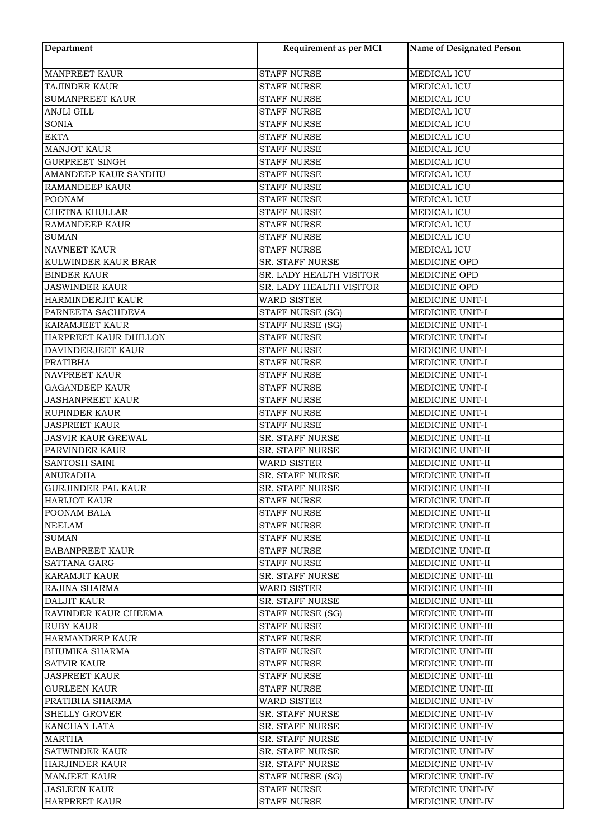| Department                            | Requirement as per MCI                     | <b>Name of Designated Person</b> |
|---------------------------------------|--------------------------------------------|----------------------------------|
| <b>MANPREET KAUR</b>                  | <b>STAFF NURSE</b>                         | MEDICAL ICU                      |
| TAJINDER KAUR                         | <b>STAFF NURSE</b>                         | MEDICAL ICU                      |
| <b>SUMANPREET KAUR</b>                | <b>STAFF NURSE</b>                         | MEDICAL ICU                      |
| <b>ANJLI GILL</b>                     | <b>STAFF NURSE</b>                         | MEDICAL ICU                      |
| <b>SONIA</b>                          | <b>STAFF NURSE</b>                         | MEDICAL ICU                      |
| <b>EKTA</b>                           | <b>STAFF NURSE</b>                         | MEDICAL ICU                      |
| <b>MANJOT KAUR</b>                    | <b>STAFF NURSE</b>                         | MEDICAL ICU                      |
| <b>GURPREET SINGH</b>                 | <b>STAFF NURSE</b>                         | MEDICAL ICU                      |
| AMANDEEP KAUR SANDHU                  | <b>STAFF NURSE</b>                         | MEDICAL ICU                      |
| <b>RAMANDEEP KAUR</b>                 | <b>STAFF NURSE</b>                         | MEDICAL ICU                      |
| <b>POONAM</b>                         | <b>STAFF NURSE</b>                         | MEDICAL ICU                      |
| <b>CHETNA KHULLAR</b>                 | <b>STAFF NURSE</b>                         | MEDICAL ICU                      |
|                                       |                                            |                                  |
| <b>RAMANDEEP KAUR</b><br><b>SUMAN</b> | <b>STAFF NURSE</b><br><b>STAFF NURSE</b>   | MEDICAL ICU<br>MEDICAL ICU       |
| <b>NAVNEET KAUR</b>                   |                                            | MEDICAL ICU                      |
|                                       | <b>STAFF NURSE</b>                         |                                  |
| KULWINDER KAUR BRAR                   | SR. STAFF NURSE<br>SR. LADY HEALTH VISITOR | MEDICINE OPD                     |
| <b>BINDER KAUR</b>                    |                                            | MEDICINE OPD                     |
| <b>JASWINDER KAUR</b>                 | SR. LADY HEALTH VISITOR                    | MEDICINE OPD                     |
| HARMINDERJIT KAUR                     | <b>WARD SISTER</b>                         | MEDICINE UNIT-I                  |
| PARNEETA SACHDEVA                     | STAFF NURSE (SG)                           | MEDICINE UNIT-I                  |
| KARAMJEET KAUR                        | <b>STAFF NURSE (SG)</b>                    | MEDICINE UNIT-I                  |
| HARPREET KAUR DHILLON                 | <b>STAFF NURSE</b>                         | MEDICINE UNIT-I                  |
| DAVINDERJEET KAUR                     | <b>STAFF NURSE</b>                         | MEDICINE UNIT-I                  |
| <b>PRATIBHA</b>                       | <b>STAFF NURSE</b>                         | MEDICINE UNIT-I                  |
| NAVPREET KAUR                         | <b>STAFF NURSE</b>                         | MEDICINE UNIT-I                  |
| <b>GAGANDEEP KAUR</b>                 | <b>STAFF NURSE</b>                         | MEDICINE UNIT-I                  |
| <b>JASHANPREET KAUR</b>               | <b>STAFF NURSE</b>                         | MEDICINE UNIT-I                  |
| <b>RUPINDER KAUR</b>                  | <b>STAFF NURSE</b>                         | MEDICINE UNIT-I                  |
| <b>JASPREET KAUR</b>                  | <b>STAFF NURSE</b>                         | MEDICINE UNIT-I                  |
| <b>JASVIR KAUR GREWAL</b>             | SR. STAFF NURSE                            | MEDICINE UNIT-II                 |
| PARVINDER KAUR                        | SR. STAFF NURSE                            | MEDICINE UNIT-II                 |
| SANTOSH SAINI                         | <b>WARD SISTER</b>                         | MEDICINE UNIT-II                 |
| <b>ANURADHA</b>                       | <b>SR. STAFF NURSE</b>                     | MEDICINE UNIT-II                 |
| <b>GURJINDER PAL KAUR</b>             | SR. STAFF NURSE                            | MEDICINE UNIT-II                 |
| HARIJOT KAUR                          | STAFF NURSE                                | MEDICINE UNIT-II                 |
| POONAM BALA                           | <b>STAFF NURSE</b>                         | MEDICINE UNIT-II                 |
| NEELAM                                | <b>STAFF NURSE</b>                         | MEDICINE UNIT-II                 |
| <b>SUMAN</b>                          | <b>STAFF NURSE</b>                         | MEDICINE UNIT-II                 |
| <b>BABANPREET KAUR</b>                | <b>STAFF NURSE</b>                         | MEDICINE UNIT-II                 |
| <b>SATTANA GARG</b>                   | <b>STAFF NURSE</b>                         | MEDICINE UNIT-II                 |
| <b>KARAMJIT KAUR</b>                  | <b>SR. STAFF NURSE</b>                     | MEDICINE UNIT-III                |
| RAJINA SHARMA                         | WARD SISTER                                | MEDICINE UNIT-III                |
| <b>DALJIT KAUR</b>                    | <b>SR. STAFF NURSE</b>                     | MEDICINE UNIT-III                |
| RAVINDER KAUR CHEEMA                  | <b>STAFF NURSE (SG)</b>                    | MEDICINE UNIT-III                |
| <b>RUBY KAUR</b>                      | <b>STAFF NURSE</b>                         | MEDICINE UNIT-III                |
| <b>HARMANDEEP KAUR</b>                | <b>STAFF NURSE</b>                         | MEDICINE UNIT-III                |
| <b>BHUMIKA SHARMA</b>                 | <b>STAFF NURSE</b>                         | MEDICINE UNIT-III                |
| <b>SATVIR KAUR</b>                    | <b>STAFF NURSE</b>                         | MEDICINE UNIT-III                |
| <b>JASPREET KAUR</b>                  | <b>STAFF NURSE</b>                         | MEDICINE UNIT-III                |
| <b>GURLEEN KAUR</b>                   | STAFF NURSE                                | MEDICINE UNIT-III                |
| PRATIBHA SHARMA                       | <b>WARD SISTER</b>                         | MEDICINE UNIT-IV                 |
| <b>SHELLY GROVER</b>                  | <b>SR. STAFF NURSE</b>                     | MEDICINE UNIT-IV                 |
| KANCHAN LATA                          | <b>SR. STAFF NURSE</b>                     | MEDICINE UNIT-IV                 |
| MARTHA                                | <b>SR. STAFF NURSE</b>                     | MEDICINE UNIT-IV                 |
| <b>SATWINDER KAUR</b>                 | <b>SR. STAFF NURSE</b>                     | MEDICINE UNIT-IV                 |
| HARJINDER KAUR                        | SR. STAFF NURSE                            | MEDICINE UNIT-IV                 |
| <b>MANJEET KAUR</b>                   | STAFF NURSE (SG)                           | MEDICINE UNIT-IV                 |
| <b>JASLEEN KAUR</b>                   | <b>STAFF NURSE</b>                         | MEDICINE UNIT-IV                 |
| <b>HARPREET KAUR</b>                  | STAFF NURSE                                | MEDICINE UNIT-IV                 |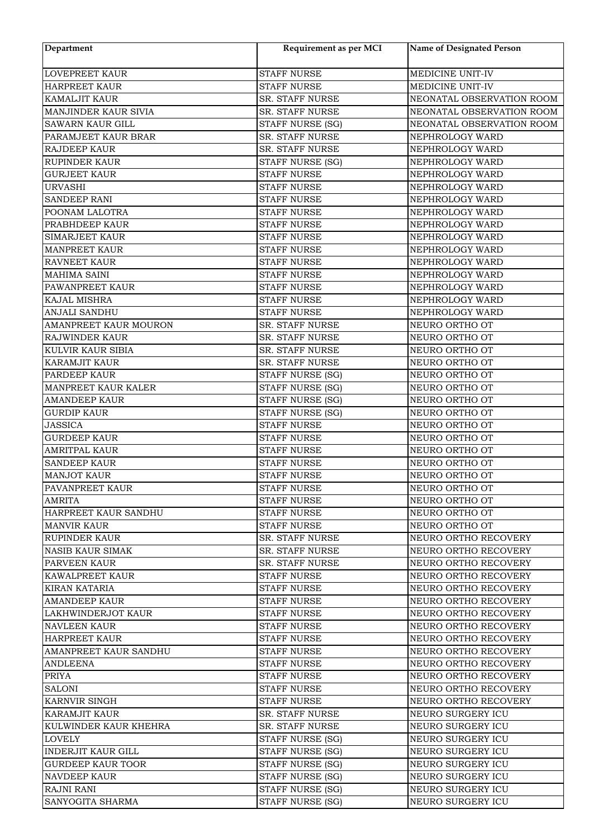| Department                                     | Requirement as per MCI                           | <b>Name of Designated Person</b>       |
|------------------------------------------------|--------------------------------------------------|----------------------------------------|
| <b>LOVEPREET KAUR</b>                          | <b>STAFF NURSE</b>                               | MEDICINE UNIT-IV                       |
| <b>HARPREET KAUR</b>                           | <b>STAFF NURSE</b>                               | MEDICINE UNIT-IV                       |
| <b>KAMALJIT KAUR</b>                           | SR. STAFF NURSE                                  | NEONATAL OBSERVATION ROOM              |
| MANJINDER KAUR SIVIA                           | SR. STAFF NURSE                                  | NEONATAL OBSERVATION ROOM              |
| <b>SAWARN KAUR GILL</b>                        | STAFF NURSE (SG)                                 | NEONATAL OBSERVATION ROOM              |
| PARAMJEET KAUR BRAR                            | SR. STAFF NURSE                                  | NEPHROLOGY WARD                        |
| RAJDEEP KAUR                                   | SR. STAFF NURSE                                  | NEPHROLOGY WARD                        |
| <b>RUPINDER KAUR</b>                           | STAFF NURSE (SG)                                 | NEPHROLOGY WARD                        |
| <b>GURJEET KAUR</b>                            | <b>STAFF NURSE</b>                               | NEPHROLOGY WARD                        |
| <b>URVASHI</b>                                 | <b>STAFF NURSE</b>                               | NEPHROLOGY WARD                        |
| <b>SANDEEP RANI</b>                            | <b>STAFF NURSE</b>                               | NEPHROLOGY WARD                        |
| POONAM LALOTRA                                 | <b>STAFF NURSE</b>                               | NEPHROLOGY WARD                        |
| PRABHDEEP KAUR                                 | <b>STAFF NURSE</b>                               | NEPHROLOGY WARD                        |
| SIMARJEET KAUR                                 | <b>STAFF NURSE</b>                               | NEPHROLOGY WARD                        |
| <b>MANPREET KAUR</b>                           | <b>STAFF NURSE</b>                               | NEPHROLOGY WARD                        |
| RAVNEET KAUR                                   | <b>STAFF NURSE</b>                               | NEPHROLOGY WARD                        |
| <b>MAHIMA SAINI</b>                            | <b>STAFF NURSE</b>                               | NEPHROLOGY WARD                        |
| PAWANPREET KAUR                                | <b>STAFF NURSE</b>                               | NEPHROLOGY WARD                        |
| KAJAL MISHRA                                   | <b>STAFF NURSE</b>                               | NEPHROLOGY WARD                        |
| ANJALI SANDHU                                  | <b>STAFF NURSE</b>                               | NEPHROLOGY WARD                        |
| <b>AMANPREET KAUR MOURON</b>                   | SR. STAFF NURSE                                  | NEURO ORTHO OT                         |
| RAJWINDER KAUR                                 | SR. STAFF NURSE                                  | NEURO ORTHO OT                         |
| KULVIR KAUR SIBIA                              | SR. STAFF NURSE                                  | NEURO ORTHO OT                         |
| <b>KARAMJIT KAUR</b>                           | SR. STAFF NURSE                                  | NEURO ORTHO OT                         |
| PARDEEP KAUR                                   | STAFF NURSE (SG)                                 | NEURO ORTHO OT                         |
| MANPREET KAUR KALER                            | STAFF NURSE (SG)                                 | NEURO ORTHO OT                         |
| <b>AMANDEEP KAUR</b>                           | STAFF NURSE (SG)                                 | NEURO ORTHO OT                         |
| <b>GURDIP KAUR</b>                             | STAFF NURSE (SG)                                 | NEURO ORTHO OT                         |
| <b>JASSICA</b>                                 | <b>STAFF NURSE</b>                               | NEURO ORTHO OT                         |
| <b>GURDEEP KAUR</b>                            | <b>STAFF NURSE</b>                               | NEURO ORTHO OT                         |
| <b>AMRITPAL KAUR</b>                           | <b>STAFF NURSE</b>                               | NEURO ORTHO OT                         |
| <b>SANDEEP KAUR</b>                            | <b>STAFF NURSE</b>                               | NEURO ORTHO OT                         |
| <b>MANJOT KAUR</b>                             | <b>STAFF NURSE</b>                               | NEURO ORTHO OT                         |
| PAVANPREET KAUR                                | <b>STAFF NURSE</b>                               | NEURO ORTHO OT                         |
| AMRITA                                         | STAFF NURSE                                      | NEURO ORTHO OT                         |
| HARPREET KAUR SANDHU                           | STAFF NURSE                                      | NEURO ORTHO OT                         |
| <b>MANVIR KAUR</b>                             | <b>STAFF NURSE</b>                               | NEURO ORTHO OT                         |
| RUPINDER KAUR                                  | SR. STAFF NURSE                                  | NEURO ORTHO RECOVERY                   |
| NASIB KAUR SIMAK                               | <b>SR. STAFF NURSE</b>                           | NEURO ORTHO RECOVERY                   |
| PARVEEN KAUR                                   | <b>SR. STAFF NURSE</b>                           | NEURO ORTHO RECOVERY                   |
| <b>KAWALPREET KAUR</b>                         | <b>STAFF NURSE</b>                               | NEURO ORTHO RECOVERY                   |
| <b>KIRAN KATARIA</b>                           | <b>STAFF NURSE</b>                               | NEURO ORTHO RECOVERY                   |
| <b>AMANDEEP KAUR</b>                           | <b>STAFF NURSE</b>                               | NEURO ORTHO RECOVERY                   |
| LAKHWINDERJOT KAUR                             | STAFF NURSE                                      | NEURO ORTHO RECOVERY                   |
| <b>NAVLEEN KAUR</b>                            | STAFF NURSE                                      | NEURO ORTHO RECOVERY                   |
| <b>HARPREET KAUR</b>                           | <b>STAFF NURSE</b>                               | NEURO ORTHO RECOVERY                   |
| AMANPREET KAUR SANDHU                          | <b>STAFF NURSE</b>                               | NEURO ORTHO RECOVERY                   |
| <b>ANDLEENA</b>                                | <b>STAFF NURSE</b>                               | NEURO ORTHO RECOVERY                   |
| <b>PRIYA</b>                                   | STAFF NURSE                                      | NEURO ORTHO RECOVERY                   |
| <b>SALONI</b>                                  | <b>STAFF NURSE</b>                               | NEURO ORTHO RECOVERY                   |
| <b>KARNVIR SINGH</b>                           | <b>STAFF NURSE</b>                               | NEURO ORTHO RECOVERY                   |
|                                                |                                                  |                                        |
| KARAMJIT KAUR<br>KULWINDER KAUR KHEHRA         | <b>SR. STAFF NURSE</b><br><b>SR. STAFF NURSE</b> | NEURO SURGERY ICU<br>NEURO SURGERY ICU |
|                                                |                                                  |                                        |
| LOVELY                                         | STAFF NURSE (SG)                                 | NEURO SURGERY ICU<br>NEURO SURGERY ICU |
| INDERJIT KAUR GILL<br><b>GURDEEP KAUR TOOR</b> | STAFF NURSE (SG)                                 | NEURO SURGERY ICU                      |
| <b>NAVDEEP KAUR</b>                            | STAFF NURSE (SG)                                 | NEURO SURGERY ICU                      |
| RAJNI RANI                                     | STAFF NURSE (SG)<br>STAFF NURSE (SG)             | NEURO SURGERY ICU                      |
| SANYOGITA SHARMA                               | STAFF NURSE (SG)                                 | NEURO SURGERY ICU                      |
|                                                |                                                  |                                        |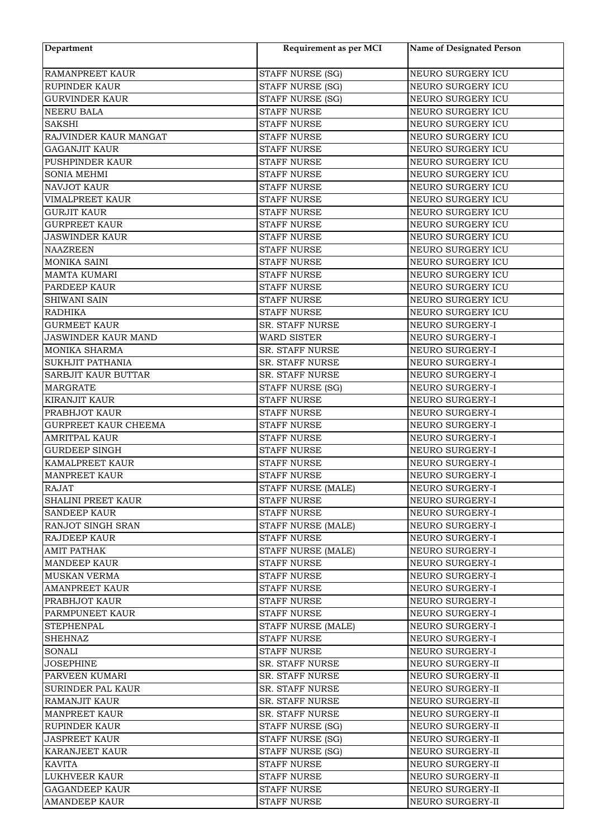| Department                                   | Requirement as per MCI  | Name of Designated Person |
|----------------------------------------------|-------------------------|---------------------------|
| <b>RAMANPREET KAUR</b>                       | STAFF NURSE (SG)        | NEURO SURGERY ICU         |
| <b>RUPINDER KAUR</b>                         | STAFF NURSE (SG)        | NEURO SURGERY ICU         |
| <b>GURVINDER KAUR</b>                        | <b>STAFF NURSE (SG)</b> | NEURO SURGERY ICU         |
| <b>NEERU BALA</b>                            | <b>STAFF NURSE</b>      | NEURO SURGERY ICU         |
| <b>SAKSHI</b>                                | <b>STAFF NURSE</b>      | NEURO SURGERY ICU         |
| RAJVINDER KAUR MANGAT                        | <b>STAFF NURSE</b>      | NEURO SURGERY ICU         |
| <b>GAGANJIT KAUR</b>                         | <b>STAFF NURSE</b>      | NEURO SURGERY ICU         |
| PUSHPINDER KAUR                              | <b>STAFF NURSE</b>      | NEURO SURGERY ICU         |
| SONIA MEHMI                                  | <b>STAFF NURSE</b>      | NEURO SURGERY ICU         |
| <b>NAVJOT KAUR</b>                           | <b>STAFF NURSE</b>      | NEURO SURGERY ICU         |
| <b>VIMALPREET KAUR</b>                       | <b>STAFF NURSE</b>      | NEURO SURGERY ICU         |
| <b>GURJIT KAUR</b>                           | <b>STAFF NURSE</b>      | NEURO SURGERY ICU         |
| <b>GURPREET KAUR</b>                         | <b>STAFF NURSE</b>      | NEURO SURGERY ICU         |
| <b>JASWINDER KAUR</b>                        | <b>STAFF NURSE</b>      | NEURO SURGERY ICU         |
| <b>NAAZREEN</b>                              | <b>STAFF NURSE</b>      | NEURO SURGERY ICU         |
| <b>MONIKA SAINI</b>                          | <b>STAFF NURSE</b>      | NEURO SURGERY ICU         |
| <b>MAMTA KUMARI</b>                          | <b>STAFF NURSE</b>      | NEURO SURGERY ICU         |
| PARDEEP KAUR                                 | <b>STAFF NURSE</b>      | NEURO SURGERY ICU         |
| SHIWANI SAIN                                 | <b>STAFF NURSE</b>      | NEURO SURGERY ICU         |
| <b>RADHIKA</b>                               | <b>STAFF NURSE</b>      | NEURO SURGERY ICU         |
| <b>GURMEET KAUR</b>                          | SR. STAFF NURSE         | NEURO SURGERY-I           |
| JASWINDER KAUR MAND                          | <b>WARD SISTER</b>      | NEURO SURGERY-I           |
| <b>MONIKA SHARMA</b>                         | SR. STAFF NURSE         | NEURO SURGERY-I           |
| <b>SUKHJIT PATHANIA</b>                      | SR. STAFF NURSE         | NEURO SURGERY-I           |
| SARBJIT KAUR BUTTAR                          | SR. STAFF NURSE         | NEURO SURGERY-I           |
| <b>MARGRATE</b>                              | STAFF NURSE (SG)        | NEURO SURGERY-I           |
| <b>KIRANJIT KAUR</b>                         | <b>STAFF NURSE</b>      | NEURO SURGERY-I           |
|                                              |                         |                           |
| PRABHJOT KAUR                                | <b>STAFF NURSE</b>      | NEURO SURGERY-I           |
| GURPREET KAUR CHEEMA<br><b>AMRITPAL KAUR</b> | <b>STAFF NURSE</b>      | NEURO SURGERY-I           |
| <b>GURDEEP SINGH</b>                         | <b>STAFF NURSE</b>      | NEURO SURGERY-I           |
| KAMALPREET KAUR                              | <b>STAFF NURSE</b>      | NEURO SURGERY-I           |
|                                              | <b>STAFF NURSE</b>      | NEURO SURGERY-I           |
| <b>MANPREET KAUR</b>                         | <b>STAFF NURSE</b>      | NEURO SURGERY-I           |
| <b>RAJAT</b>                                 | STAFF NURSE (MALE)      | NEURO SURGERY-I           |
| <b>SHALINI PREET KAUR</b>                    | STAFF NURSE             | NEURO SURGERY-I           |
| <b>SANDEEP KAUR</b>                          | STAFF NURSE             | NEURO SURGERY-I           |
| <b>RANJOT SINGH SRAN</b>                     | STAFF NURSE (MALE)      | NEURO SURGERY-I           |
| <b>RAJDEEP KAUR</b>                          | STAFF NURSE             | NEURO SURGERY-I           |
| <b>AMIT PATHAK</b>                           | STAFF NURSE (MALE)      | NEURO SURGERY-I           |
| <b>MANDEEP KAUR</b>                          | <b>STAFF NURSE</b>      | NEURO SURGERY-I           |
| <b>MUSKAN VERMA</b>                          | <b>STAFF NURSE</b>      | NEURO SURGERY-I           |
| <b>AMANPREET KAUR</b>                        | <b>STAFF NURSE</b>      | NEURO SURGERY-I           |
| PRABHJOT KAUR                                | <b>STAFF NURSE</b>      | NEURO SURGERY-I           |
| PARMPUNEET KAUR                              | <b>STAFF NURSE</b>      | NEURO SURGERY-I           |
| <b>STEPHENPAL</b>                            | STAFF NURSE (MALE)      | NEURO SURGERY-I           |
| <b>SHEHNAZ</b>                               | <b>STAFF NURSE</b>      | NEURO SURGERY-I           |
| <b>SONALI</b>                                | <b>STAFF NURSE</b>      | NEURO SURGERY-I           |
| <b>JOSEPHINE</b>                             | SR. STAFF NURSE         | NEURO SURGERY-II          |
| PARVEEN KUMARI                               | SR. STAFF NURSE         | NEURO SURGERY-II          |
| <b>SURINDER PAL KAUR</b>                     | SR. STAFF NURSE         | NEURO SURGERY-II          |
| <b>RAMANJIT KAUR</b>                         | SR. STAFF NURSE         | NEURO SURGERY-II          |
| <b>MANPREET KAUR</b>                         | <b>SR. STAFF NURSE</b>  | NEURO SURGERY-II          |
| <b>RUPINDER KAUR</b>                         | STAFF NURSE (SG)        | NEURO SURGERY-II          |
| <b>JASPREET KAUR</b>                         | STAFF NURSE (SG)        | NEURO SURGERY-II          |
| <b>KARANJEET KAUR</b>                        | STAFF NURSE (SG)        | NEURO SURGERY-II          |
| <b>KAVITA</b>                                | <b>STAFF NURSE</b>      | NEURO SURGERY-II          |
| <b>LUKHVEER KAUR</b>                         | <b>STAFF NURSE</b>      | NEURO SURGERY-II          |
| <b>GAGANDEEP KAUR</b>                        | <b>STAFF NURSE</b>      | NEURO SURGERY-II          |
| <b>AMANDEEP KAUR</b>                         | <b>STAFF NURSE</b>      | NEURO SURGERY-II          |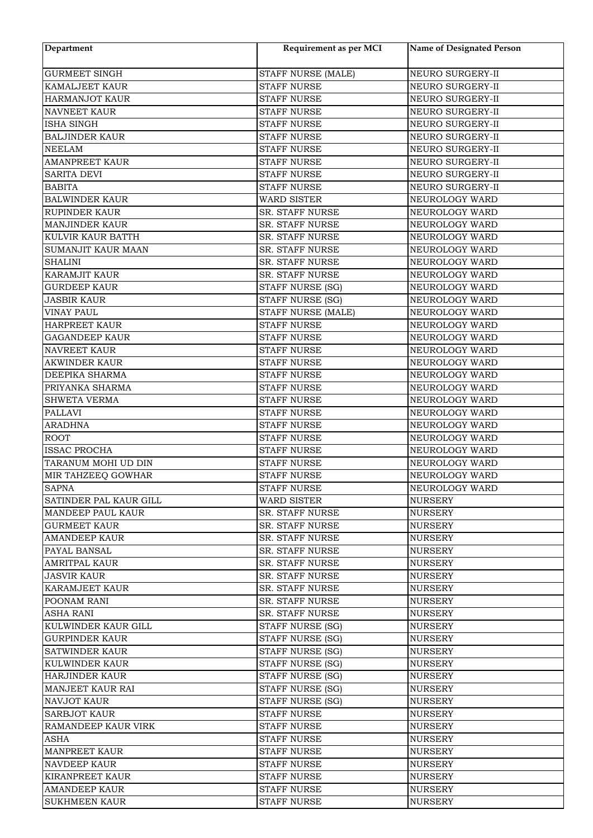| Department                                | Requirement as per MCI                   | Name of Designated Person        |
|-------------------------------------------|------------------------------------------|----------------------------------|
| <b>GURMEET SINGH</b>                      | STAFF NURSE (MALE)                       | NEURO SURGERY-II                 |
| KAMALJEET KAUR                            | <b>STAFF NURSE</b>                       | NEURO SURGERY-II                 |
| <b>HARMANJOT KAUR</b>                     | <b>STAFF NURSE</b>                       | NEURO SURGERY-II                 |
| <b>NAVNEET KAUR</b>                       | <b>STAFF NURSE</b>                       | NEURO SURGERY-II                 |
| <b>ISHA SINGH</b>                         | <b>STAFF NURSE</b>                       | NEURO SURGERY-II                 |
| <b>BALJINDER KAUR</b>                     | <b>STAFF NURSE</b>                       | NEURO SURGERY-II                 |
| <b>NEELAM</b>                             | <b>STAFF NURSE</b>                       | NEURO SURGERY-II                 |
| <b>AMANPREET KAUR</b>                     | <b>STAFF NURSE</b>                       | NEURO SURGERY-II                 |
| <b>SARITA DEVI</b>                        | <b>STAFF NURSE</b>                       | NEURO SURGERY-II                 |
| <b>BABITA</b>                             | <b>STAFF NURSE</b>                       | NEURO SURGERY-II                 |
| <b>BALWINDER KAUR</b>                     | <b>WARD SISTER</b>                       | NEUROLOGY WARD                   |
| <b>RUPINDER KAUR</b>                      | SR. STAFF NURSE                          | NEUROLOGY WARD                   |
| MANJINDER KAUR                            | SR. STAFF NURSE                          | NEUROLOGY WARD                   |
| KULVIR KAUR BATTH                         | SR. STAFF NURSE                          | NEUROLOGY WARD                   |
| <b>SUMANJIT KAUR MAAN</b>                 | <b>SR. STAFF NURSE</b>                   | NEUROLOGY WARD                   |
| <b>SHALINI</b>                            | SR. STAFF NURSE                          | NEUROLOGY WARD                   |
| <b>KARAMJIT KAUR</b>                      | SR. STAFF NURSE                          | NEUROLOGY WARD                   |
| <b>GURDEEP KAUR</b>                       | STAFF NURSE (SG)                         | NEUROLOGY WARD                   |
| <b>JASBIR KAUR</b>                        | <b>STAFF NURSE (SG)</b>                  | NEUROLOGY WARD                   |
| <b>VINAY PAUL</b>                         | STAFF NURSE (MALE)                       | NEUROLOGY WARD                   |
| <b>HARPREET KAUR</b>                      | <b>STAFF NURSE</b>                       | NEUROLOGY WARD                   |
| <b>GAGANDEEP KAUR</b>                     | <b>STAFF NURSE</b>                       | NEUROLOGY WARD                   |
| <b>NAVREET KAUR</b>                       | <b>STAFF NURSE</b>                       | NEUROLOGY WARD                   |
| <b>AKWINDER KAUR</b>                      | <b>STAFF NURSE</b>                       | NEUROLOGY WARD                   |
| DEEPIKA SHARMA                            | <b>STAFF NURSE</b>                       | NEUROLOGY WARD                   |
| PRIYANKA SHARMA                           | <b>STAFF NURSE</b>                       | NEUROLOGY WARD                   |
| <b>SHWETA VERMA</b>                       | <b>STAFF NURSE</b>                       | NEUROLOGY WARD                   |
| <b>PALLAVI</b>                            | <b>STAFF NURSE</b>                       | NEUROLOGY WARD                   |
| <b>ARADHNA</b>                            | <b>STAFF NURSE</b>                       | NEUROLOGY WARD                   |
| <b>ROOT</b>                               | <b>STAFF NURSE</b>                       | NEUROLOGY WARD                   |
| <b>ISSAC PROCHA</b>                       | <b>STAFF NURSE</b>                       | NEUROLOGY WARD<br>NEUROLOGY WARD |
| TARANUM MOHI UD DIN<br>MIR TAHZEEQ GOWHAR | <b>STAFF NURSE</b>                       |                                  |
| <b>SAPNA</b>                              | <b>STAFF NURSE</b><br><b>STAFF NURSE</b> | NEUROLOGY WARD<br>NEUROLOGY WARD |
| SATINDER PAL KAUR GILL                    | WARD SISTER                              | <b>NURSERY</b>                   |
| <b>MANDEEP PAUL KAUR</b>                  | <b>SR. STAFF NURSE</b>                   | <b>NURSERY</b>                   |
| <b>GURMEET KAUR</b>                       | <b>SR. STAFF NURSE</b>                   | <b>NURSERY</b>                   |
| <b>AMANDEEP KAUR</b>                      | SR. STAFF NURSE                          | <b>NURSERY</b>                   |
| PAYAL BANSAL                              | <b>SR. STAFF NURSE</b>                   | <b>NURSERY</b>                   |
| <b>AMRITPAL KAUR</b>                      | <b>SR. STAFF NURSE</b>                   | <b>NURSERY</b>                   |
| <b>JASVIR KAUR</b>                        | <b>SR. STAFF NURSE</b>                   | <b>NURSERY</b>                   |
| <b>KARAMJEET KAUR</b>                     | <b>SR. STAFF NURSE</b>                   | <b>NURSERY</b>                   |
| POONAM RANI                               | <b>SR. STAFF NURSE</b>                   | NURSERY                          |
| <b>ASHA RANI</b>                          | <b>SR. STAFF NURSE</b>                   | <b>NURSERY</b>                   |
| KULWINDER KAUR GILL                       | STAFF NURSE (SG)                         | <b>NURSERY</b>                   |
| <b>GURPINDER KAUR</b>                     | STAFF NURSE (SG)                         | <b>NURSERY</b>                   |
| <b>SATWINDER KAUR</b>                     | STAFF NURSE (SG)                         | <b>NURSERY</b>                   |
| KULWINDER KAUR                            | STAFF NURSE (SG)                         | <b>NURSERY</b>                   |
| <b>HARJINDER KAUR</b>                     | STAFF NURSE (SG)                         | NURSERY                          |
| <b>MANJEET KAUR RAI</b>                   | STAFF NURSE (SG)                         | <b>NURSERY</b>                   |
| <b>NAVJOT KAUR</b>                        | STAFF NURSE (SG)                         | <b>NURSERY</b>                   |
| <b>SARBJOT KAUR</b>                       | <b>STAFF NURSE</b>                       | <b>NURSERY</b>                   |
| RAMANDEEP KAUR VIRK                       | <b>STAFF NURSE</b>                       | NURSERY                          |
| ASHA                                      | STAFF NURSE                              | NURSERY                          |
| <b>MANPREET KAUR</b>                      | <b>STAFF NURSE</b>                       | <b>NURSERY</b>                   |
| <b>NAVDEEP KAUR</b>                       | <b>STAFF NURSE</b>                       | <b>NURSERY</b>                   |
| KIRANPREET KAUR                           | <b>STAFF NURSE</b>                       | <b>NURSERY</b>                   |
| <b>AMANDEEP KAUR</b>                      | <b>STAFF NURSE</b>                       | <b>NURSERY</b>                   |
| <b>SUKHMEEN KAUR</b>                      | <b>STAFF NURSE</b>                       | <b>NURSERY</b>                   |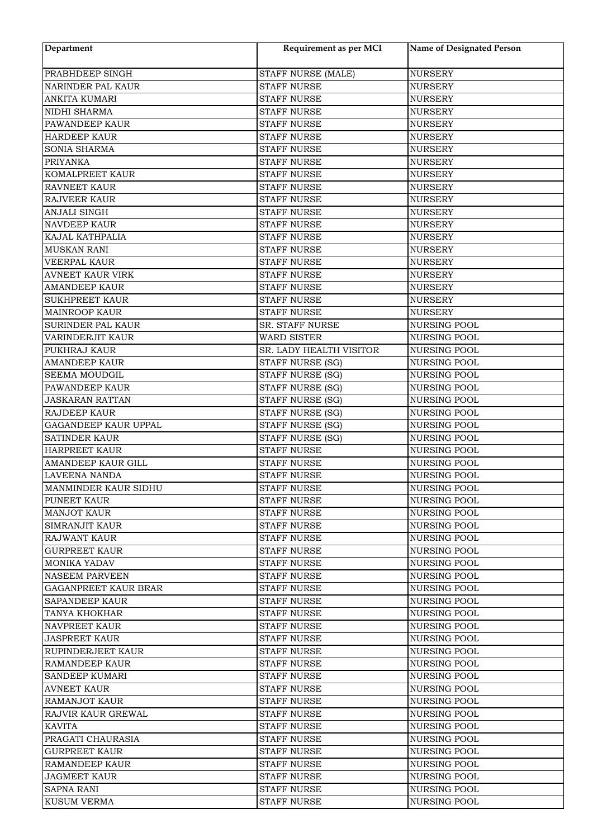| Department              | Requirement as per MCI               | <b>Name of Designated Person</b> |
|-------------------------|--------------------------------------|----------------------------------|
| PRABHDEEP SINGH         | STAFF NURSE (MALE)                   | <b>NURSERY</b>                   |
| NARINDER PAL KAUR       | <b>STAFF NURSE</b>                   | <b>NURSERY</b>                   |
| ANKITA KUMARI           | <b>STAFF NURSE</b>                   | <b>NURSERY</b>                   |
| NIDHI SHARMA            | <b>STAFF NURSE</b>                   | <b>NURSERY</b>                   |
| PAWANDEEP KAUR          | <b>STAFF NURSE</b>                   | <b>NURSERY</b>                   |
| <b>HARDEEP KAUR</b>     | <b>STAFF NURSE</b>                   | <b>NURSERY</b>                   |
| SONIA SHARMA            | <b>STAFF NURSE</b>                   | <b>NURSERY</b>                   |
| <b>PRIYANKA</b>         | <b>STAFF NURSE</b>                   | <b>NURSERY</b>                   |
| KOMALPREET KAUR         | <b>STAFF NURSE</b>                   | <b>NURSERY</b>                   |
| <b>RAVNEET KAUR</b>     | <b>STAFF NURSE</b>                   | <b>NURSERY</b>                   |
| RAJVEER KAUR            | <b>STAFF NURSE</b>                   | <b>NURSERY</b>                   |
| ANJALI SINGH            | <b>STAFF NURSE</b>                   | <b>NURSERY</b>                   |
| NAVDEEP KAUR            | <b>STAFF NURSE</b>                   | <b>NURSERY</b>                   |
| KAJAL KATHPALIA         | <b>STAFF NURSE</b>                   | <b>NURSERY</b>                   |
| MUSKAN RANI             | <b>STAFF NURSE</b>                   | <b>NURSERY</b>                   |
| VEERPAL KAUR            | <b>STAFF NURSE</b>                   | <b>NURSERY</b>                   |
| <b>AVNEET KAUR VIRK</b> | <b>STAFF NURSE</b>                   | <b>NURSERY</b>                   |
| <b>AMANDEEP KAUR</b>    | <b>STAFF NURSE</b>                   | <b>NURSERY</b>                   |
| <b>SUKHPREET KAUR</b>   | <b>STAFF NURSE</b>                   | <b>NURSERY</b>                   |
| MAINROOP KAUR           | <b>STAFF NURSE</b>                   | <b>NURSERY</b>                   |
| SURINDER PAL KAUR       | SR. STAFF NURSE                      | <b>NURSING POOL</b>              |
| VARINDERJIT KAUR        | <b>WARD SISTER</b>                   | <b>NURSING POOL</b>              |
| PUKHRAJ KAUR            | SR. LADY HEALTH VISITOR              | <b>NURSING POOL</b>              |
| <b>AMANDEEP KAUR</b>    |                                      | <b>NURSING POOL</b>              |
| <b>SEEMA MOUDGIL</b>    | STAFF NURSE (SG)<br>STAFF NURSE (SG) | <b>NURSING POOL</b>              |
|                         |                                      |                                  |
| PAWANDEEP KAUR          | STAFF NURSE (SG)                     | <b>NURSING POOL</b>              |
| <b>JASKARAN RATTAN</b>  | STAFF NURSE (SG)                     | <b>NURSING POOL</b>              |
| RAJDEEP KAUR            | STAFF NURSE (SG)                     | NURSING POOL                     |
| GAGANDEEP KAUR UPPAL    | STAFF NURSE (SG)                     | NURSING POOL                     |
| <b>SATINDER KAUR</b>    | <b>STAFF NURSE (SG)</b>              | <b>NURSING POOL</b>              |
| <b>HARPREET KAUR</b>    | <b>STAFF NURSE</b>                   | <b>NURSING POOL</b>              |
| AMANDEEP KAUR GILL      | <b>STAFF NURSE</b>                   | <b>NURSING POOL</b>              |
| LAVEENA NANDA           | <b>STAFF NURSE</b>                   | <b>NURSING POOL</b>              |
| MANMINDER KAUR SIDHU    | <b>STAFF NURSE</b>                   | <b>NURSING POOL</b>              |
| <b>PUNEET KAUR</b>      | STAFF NURSE                          | NURSING POOL                     |
| <b>MANJOT KAUR</b>      | STAFF NURSE                          | <b>NURSING POOL</b>              |
| <b>SIMRANJIT KAUR</b>   | <b>STAFF NURSE</b>                   | <b>NURSING POOL</b>              |
| <b>RAJWANT KAUR</b>     | <b>STAFF NURSE</b>                   | NURSING POOL                     |
| <b>GURPREET KAUR</b>    | <b>STAFF NURSE</b>                   | <b>NURSING POOL</b>              |
| <b>MONIKA YADAV</b>     | <b>STAFF NURSE</b>                   | <b>NURSING POOL</b>              |
| <b>NASEEM PARVEEN</b>   | <b>STAFF NURSE</b>                   | <b>NURSING POOL</b>              |
| GAGANPREET KAUR BRAR    | <b>STAFF NURSE</b>                   | NURSING POOL                     |
| <b>SAPANDEEP KAUR</b>   | STAFF NURSE                          | <b>NURSING POOL</b>              |
| TANYA KHOKHAR           | <b>STAFF NURSE</b>                   | NURSING POOL                     |
| <b>NAVPREET KAUR</b>    | STAFF NURSE                          | <b>NURSING POOL</b>              |
| <b>JASPREET KAUR</b>    | STAFF NURSE                          | <b>NURSING POOL</b>              |
| RUPINDERJEET KAUR       | <b>STAFF NURSE</b>                   | <b>NURSING POOL</b>              |
| RAMANDEEP KAUR          | STAFF NURSE                          | <b>NURSING POOL</b>              |
| <b>SANDEEP KUMARI</b>   | <b>STAFF NURSE</b>                   | <b>NURSING POOL</b>              |
| <b>AVNEET KAUR</b>      | <b>STAFF NURSE</b>                   | <b>NURSING POOL</b>              |
| RAMANJOT KAUR           | <b>STAFF NURSE</b>                   | <b>NURSING POOL</b>              |
| RAJVIR KAUR GREWAL      | <b>STAFF NURSE</b>                   | <b>NURSING POOL</b>              |
| KAVITA                  | STAFF NURSE                          | NURSING POOL                     |
| PRAGATI CHAURASIA       | STAFF NURSE                          | NURSING POOL                     |
| <b>GURPREET KAUR</b>    | <b>STAFF NURSE</b>                   | <b>NURSING POOL</b>              |
| RAMANDEEP KAUR          | <b>STAFF NURSE</b>                   | <b>NURSING POOL</b>              |
| <b>JAGMEET KAUR</b>     | <b>STAFF NURSE</b>                   | <b>NURSING POOL</b>              |
| SAPNA RANI              | <b>STAFF NURSE</b>                   | <b>NURSING POOL</b>              |
| <b>KUSUM VERMA</b>      | STAFF NURSE                          | <b>NURSING POOL</b>              |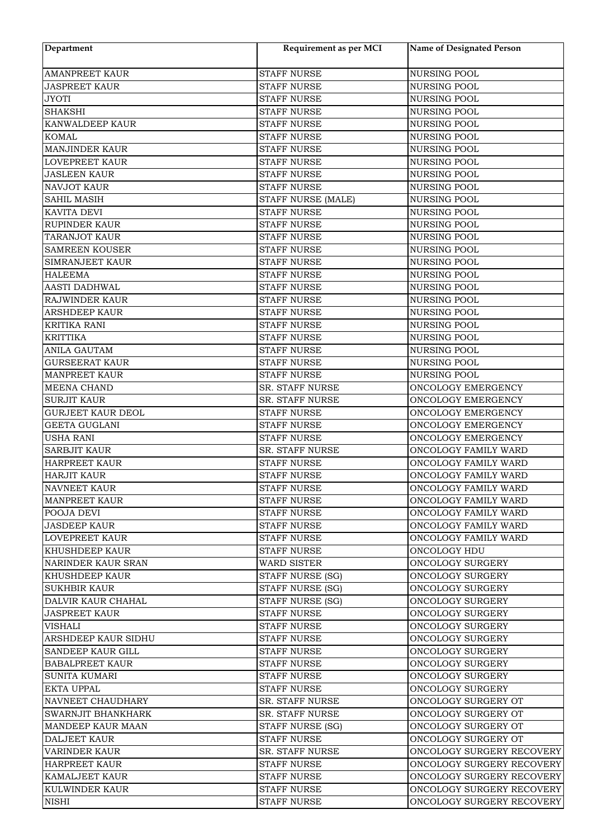| Department               | Requirement as per MCI | <b>Name of Designated Person</b> |
|--------------------------|------------------------|----------------------------------|
| <b>AMANPREET KAUR</b>    | <b>STAFF NURSE</b>     | <b>NURSING POOL</b>              |
| <b>JASPREET KAUR</b>     | <b>STAFF NURSE</b>     | <b>NURSING POOL</b>              |
| <b>JYOTI</b>             | <b>STAFF NURSE</b>     | <b>NURSING POOL</b>              |
| <b>SHAKSHI</b>           | <b>STAFF NURSE</b>     | <b>NURSING POOL</b>              |
| KANWALDEEP KAUR          | <b>STAFF NURSE</b>     | <b>NURSING POOL</b>              |
| <b>KOMAL</b>             | <b>STAFF NURSE</b>     | <b>NURSING POOL</b>              |
| <b>MANJINDER KAUR</b>    | <b>STAFF NURSE</b>     | <b>NURSING POOL</b>              |
| LOVEPREET KAUR           | <b>STAFF NURSE</b>     | NURSING POOL                     |
| <b>JASLEEN KAUR</b>      | <b>STAFF NURSE</b>     | NURSING POOL                     |
| NAVJOT KAUR              | <b>STAFF NURSE</b>     | <b>NURSING POOL</b>              |
| <b>SAHIL MASIH</b>       | STAFF NURSE (MALE)     | <b>NURSING POOL</b>              |
| KAVITA DEVI              | <b>STAFF NURSE</b>     | NURSING POOL                     |
| RUPINDER KAUR            | <b>STAFF NURSE</b>     | <b>NURSING POOL</b>              |
| TARANJOT KAUR            | <b>STAFF NURSE</b>     | <b>NURSING POOL</b>              |
| SAMREEN KOUSER           | <b>STAFF NURSE</b>     | <b>NURSING POOL</b>              |
| <b>SIMRANJEET KAUR</b>   | <b>STAFF NURSE</b>     | <b>NURSING POOL</b>              |
| <b>HALEEMA</b>           | <b>STAFF NURSE</b>     | <b>NURSING POOL</b>              |
| <b>AASTI DADHWAL</b>     | <b>STAFF NURSE</b>     | NURSING POOL                     |
| RAJWINDER KAUR           | <b>STAFF NURSE</b>     | NURSING POOL                     |
| <b>ARSHDEEP KAUR</b>     | <b>STAFF NURSE</b>     | NURSING POOL                     |
| <b>KRITIKA RANI</b>      | <b>STAFF NURSE</b>     | <b>NURSING POOL</b>              |
| <b>KRITTIKA</b>          | <b>STAFF NURSE</b>     | NURSING POOL                     |
| <b>ANILA GAUTAM</b>      | <b>STAFF NURSE</b>     | <b>NURSING POOL</b>              |
| <b>GURSEERAT KAUR</b>    | <b>STAFF NURSE</b>     | <b>NURSING POOL</b>              |
| <b>MANPREET KAUR</b>     | <b>STAFF NURSE</b>     | <b>NURSING POOL</b>              |
| MEENA CHAND              | SR. STAFF NURSE        | ONCOLOGY EMERGENCY               |
| <b>SURJIT KAUR</b>       | SR. STAFF NURSE        | ONCOLOGY EMERGENCY               |
| <b>GURJEET KAUR DEOL</b> | <b>STAFF NURSE</b>     | ONCOLOGY EMERGENCY               |
| <b>GEETA GUGLANI</b>     | <b>STAFF NURSE</b>     | ONCOLOGY EMERGENCY               |
| <b>USHA RANI</b>         | <b>STAFF NURSE</b>     | ONCOLOGY EMERGENCY               |
| <b>SARBJIT KAUR</b>      | <b>SR. STAFF NURSE</b> | ONCOLOGY FAMILY WARD             |
| HARPREET KAUR            | <b>STAFF NURSE</b>     | ONCOLOGY FAMILY WARD             |
| <b>HARJIT KAUR</b>       | <b>STAFF NURSE</b>     | ONCOLOGY FAMILY WARD             |
| <b>NAVNEET KAUR</b>      | <b>STAFF NURSE</b>     | ONCOLOGY FAMILY WARD             |
| <b>MANPREET KAUR</b>     | STAFF NURSE            | ONCOLOGY FAMILY WARD             |
| POOJA DEVI               | <b>STAFF NURSE</b>     | ONCOLOGY FAMILY WARD             |
| <b>JASDEEP KAUR</b>      | <b>STAFF NURSE</b>     | ONCOLOGY FAMILY WARD             |
| <b>LOVEPREET KAUR</b>    | STAFF NURSE            | ONCOLOGY FAMILY WARD             |
| <b>KHUSHDEEP KAUR</b>    | <b>STAFF NURSE</b>     | ONCOLOGY HDU                     |
| NARINDER KAUR SRAN       | <b>WARD SISTER</b>     | ONCOLOGY SURGERY                 |
| <b>KHUSHDEEP KAUR</b>    | STAFF NURSE (SG)       | ONCOLOGY SURGERY                 |
| <b>SUKHBIR KAUR</b>      | STAFF NURSE (SG)       | ONCOLOGY SURGERY                 |
| DALVIR KAUR CHAHAL       | STAFF NURSE (SG)       | ONCOLOGY SURGERY                 |
| <b>JASPREET KAUR</b>     | <b>STAFF NURSE</b>     | ONCOLOGY SURGERY                 |
| <b>VISHALI</b>           | STAFF NURSE            | ONCOLOGY SURGERY                 |
| ARSHDEEP KAUR SIDHU      | <b>STAFF NURSE</b>     | ONCOLOGY SURGERY                 |
| SANDEEP KAUR GILL        | <b>STAFF NURSE</b>     | ONCOLOGY SURGERY                 |
| <b>BABALPREET KAUR</b>   | STAFF NURSE            | ONCOLOGY SURGERY                 |
| <b>SUNITA KUMARI</b>     | <b>STAFF NURSE</b>     | ONCOLOGY SURGERY                 |
| <b>EKTA UPPAL</b>        | <b>STAFF NURSE</b>     | ONCOLOGY SURGERY                 |
| NAVNEET CHAUDHARY        | <b>SR. STAFF NURSE</b> | ONCOLOGY SURGERY OT              |
| SWARNJIT BHANKHARK       | SR. STAFF NURSE        | ONCOLOGY SURGERY OT              |
| <b>MANDEEP KAUR MAAN</b> | STAFF NURSE (SG)       | ONCOLOGY SURGERY OT              |
| <b>DALJEET KAUR</b>      | <b>STAFF NURSE</b>     | ONCOLOGY SURGERY OT              |
| <b>VARINDER KAUR</b>     | <b>SR. STAFF NURSE</b> | ONCOLOGY SURGERY RECOVERY        |
| <b>HARPREET KAUR</b>     | <b>STAFF NURSE</b>     | ONCOLOGY SURGERY RECOVERY        |
| KAMALJEET KAUR           | STAFF NURSE            | ONCOLOGY SURGERY RECOVERY        |
| KULWINDER KAUR           | STAFF NURSE            | ONCOLOGY SURGERY RECOVERY        |
| <b>NISHI</b>             | <b>STAFF NURSE</b>     | ONCOLOGY SURGERY RECOVERY        |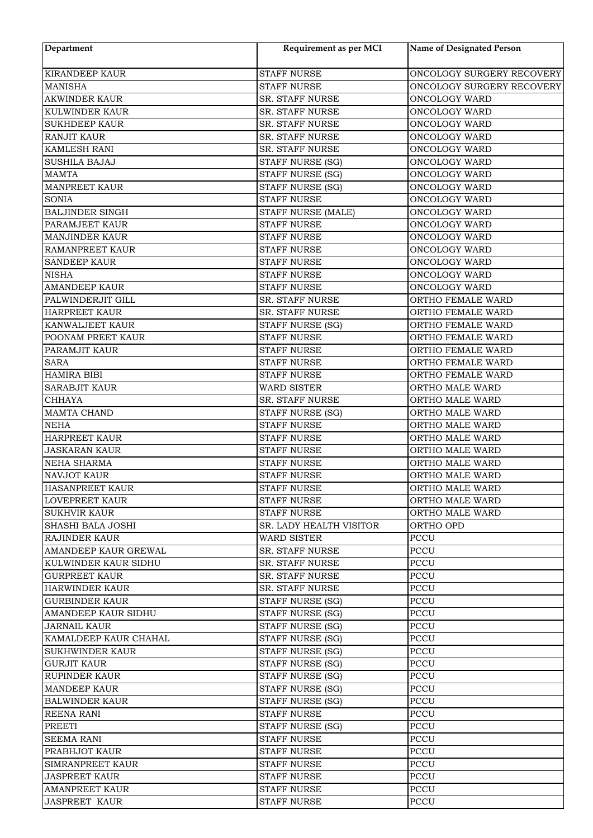| Department                                | Requirement as per MCI  | <b>Name of Designated Person</b>       |
|-------------------------------------------|-------------------------|----------------------------------------|
| <b>KIRANDEEP KAUR</b>                     | <b>STAFF NURSE</b>      | ONCOLOGY SURGERY RECOVERY              |
| <b>MANISHA</b>                            | <b>STAFF NURSE</b>      | ONCOLOGY SURGERY RECOVERY              |
| <b>AKWINDER KAUR</b>                      | SR. STAFF NURSE         | ONCOLOGY WARD                          |
| KULWINDER KAUR                            | SR. STAFF NURSE         | <b>ONCOLOGY WARD</b>                   |
| <b>SUKHDEEP KAUR</b>                      | SR. STAFF NURSE         | ONCOLOGY WARD                          |
| <b>RANJIT KAUR</b>                        | SR. STAFF NURSE         | ONCOLOGY WARD                          |
| <b>KAMLESH RANI</b>                       | SR. STAFF NURSE         | ONCOLOGY WARD                          |
| <b>SUSHILA BAJAJ</b>                      | STAFF NURSE (SG)        | ONCOLOGY WARD                          |
| <b>MAMTA</b>                              | STAFF NURSE (SG)        | ONCOLOGY WARD                          |
| <b>MANPREET KAUR</b>                      | STAFF NURSE (SG)        | ONCOLOGY WARD                          |
| <b>SONIA</b>                              | <b>STAFF NURSE</b>      | ONCOLOGY WARD                          |
| <b>BALJINDER SINGH</b>                    | STAFF NURSE (MALE)      | ONCOLOGY WARD                          |
| PARAMJEET KAUR                            | <b>STAFF NURSE</b>      | ONCOLOGY WARD                          |
| <b>MANJINDER KAUR</b>                     | <b>STAFF NURSE</b>      | ONCOLOGY WARD                          |
| <b>RAMANPREET KAUR</b>                    | <b>STAFF NURSE</b>      | ONCOLOGY WARD                          |
| <b>SANDEEP KAUR</b>                       | <b>STAFF NURSE</b>      | ONCOLOGY WARD                          |
| <b>NISHA</b>                              | <b>STAFF NURSE</b>      | ONCOLOGY WARD                          |
| <b>AMANDEEP KAUR</b>                      | <b>STAFF NURSE</b>      | ONCOLOGY WARD                          |
|                                           |                         |                                        |
| PALWINDERJIT GILL<br><b>HARPREET KAUR</b> | SR. STAFF NURSE         | ORTHO FEMALE WARD<br>ORTHO FEMALE WARD |
|                                           | SR. STAFF NURSE         |                                        |
| KANWALJEET KAUR                           | <b>STAFF NURSE (SG)</b> | ORTHO FEMALE WARD                      |
| POONAM PREET KAUR                         | <b>STAFF NURSE</b>      | ORTHO FEMALE WARD                      |
| PARAMJIT KAUR                             | <b>STAFF NURSE</b>      | ORTHO FEMALE WARD                      |
| <b>SARA</b>                               | STAFF NURSE             | ORTHO FEMALE WARD                      |
| <b>HAMIRA BIBI</b>                        | <b>STAFF NURSE</b>      | ORTHO FEMALE WARD                      |
| <b>SARABJIT KAUR</b>                      | <b>WARD SISTER</b>      | ORTHO MALE WARD                        |
| <b>CHHAYA</b>                             | SR. STAFF NURSE         | ORTHO MALE WARD                        |
| MAMTA CHAND                               | STAFF NURSE (SG)        | ORTHO MALE WARD                        |
| <b>NEHA</b>                               | <b>STAFF NURSE</b>      | ORTHO MALE WARD                        |
| <b>HARPREET KAUR</b>                      | <b>STAFF NURSE</b>      | ORTHO MALE WARD                        |
| <b>JASKARAN KAUR</b>                      | <b>STAFF NURSE</b>      | ORTHO MALE WARD                        |
| NEHA SHARMA                               | <b>STAFF NURSE</b>      | ORTHO MALE WARD                        |
| <b>NAVJOT KAUR</b>                        | <b>STAFF NURSE</b>      | ORTHO MALE WARD                        |
| HASANPREET KAUR                           | <b>STAFF NURSE</b>      | ORTHO MALE WARD                        |
| <b>LOVEPREET KAUR</b>                     | STAFF NURSE             | ORTHO MALE WARD                        |
| <b>SUKHVIR KAUR</b>                       | <b>STAFF NURSE</b>      | ORTHO MALE WARD                        |
| SHASHI BALA JOSHI                         | SR. LADY HEALTH VISITOR | ORTHO OPD                              |
| <b>RAJINDER KAUR</b>                      | WARD SISTER             | PCCU                                   |
| AMANDEEP KAUR GREWAL                      | SR. STAFF NURSE         | PCCU                                   |
| KULWINDER KAUR SIDHU                      | <b>SR. STAFF NURSE</b>  | PCCU                                   |
| <b>GURPREET KAUR</b>                      | SR. STAFF NURSE         | <b>PCCU</b>                            |
| HARWINDER KAUR                            | SR. STAFF NURSE         | PCCU                                   |
| <b>GURBINDER KAUR</b>                     | STAFF NURSE (SG)        | PCCU                                   |
| <b>AMANDEEP KAUR SIDHU</b>                | STAFF NURSE (SG)        | PCCU                                   |
| <b>JARNAIL KAUR</b>                       | STAFF NURSE (SG)        | PCCU                                   |
| KAMALDEEP KAUR CHAHAL                     | STAFF NURSE (SG)        | PCCU                                   |
| <b>SUKHWINDER KAUR</b>                    | STAFF NURSE (SG)        | PCCU                                   |
| <b>GURJIT KAUR</b>                        | STAFF NURSE (SG)        | PCCU                                   |
| <b>RUPINDER KAUR</b>                      | STAFF NURSE (SG)        | PCCU                                   |
| <b>MANDEEP KAUR</b>                       | STAFF NURSE (SG)        | PCCU                                   |
| <b>BALWINDER KAUR</b>                     | STAFF NURSE (SG)        | PCCU                                   |
| REENA RANI                                | STAFF NURSE             | PCCU                                   |
| PREETI                                    | STAFF NURSE (SG)        | PCCU                                   |
| <b>SEEMA RANI</b>                         | <b>STAFF NURSE</b>      | PCCU                                   |
| PRABHJOT KAUR                             | <b>STAFF NURSE</b>      | PCCU                                   |
| SIMRANPREET KAUR                          | <b>STAFF NURSE</b>      | PCCU                                   |
| <b>JASPREET KAUR</b>                      | <b>STAFF NURSE</b>      | PCCU                                   |
| <b>AMANPREET KAUR</b>                     | <b>STAFF NURSE</b>      | PCCU                                   |
| <b>JASPREET KAUR</b>                      | <b>STAFF NURSE</b>      | PCCU                                   |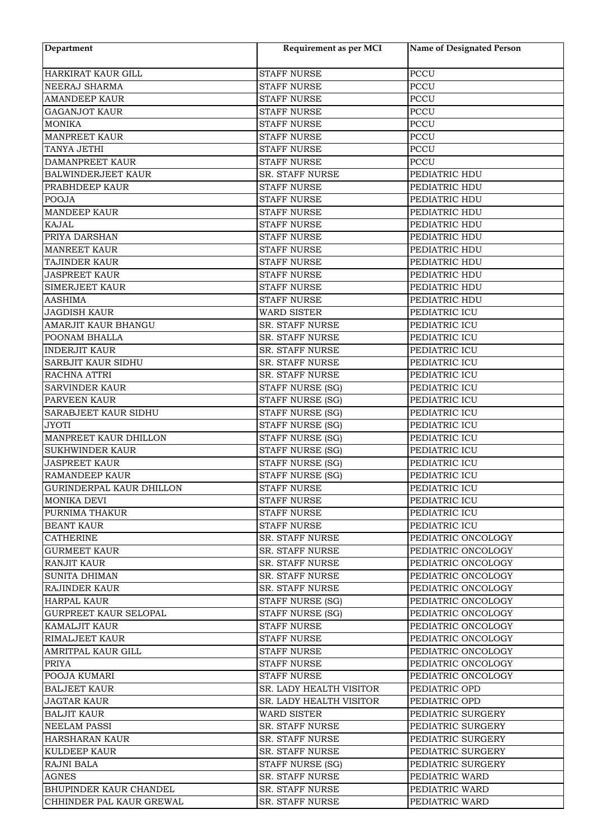| Department                            | Requirement as per MCI  | <b>Name of Designated Person</b> |
|---------------------------------------|-------------------------|----------------------------------|
| HARKIRAT KAUR GILL                    | <b>STAFF NURSE</b>      | <b>PCCU</b>                      |
| NEERAJ SHARMA                         | <b>STAFF NURSE</b>      | <b>PCCU</b>                      |
| <b>AMANDEEP KAUR</b>                  | <b>STAFF NURSE</b>      | <b>PCCU</b>                      |
| <b>GAGANJOT KAUR</b>                  | <b>STAFF NURSE</b>      | <b>PCCU</b>                      |
| <b>MONIKA</b>                         | <b>STAFF NURSE</b>      | <b>PCCU</b>                      |
| <b>MANPREET KAUR</b>                  | <b>STAFF NURSE</b>      | <b>PCCU</b>                      |
| TANYA JETHI                           | <b>STAFF NURSE</b>      | PCCU                             |
| DAMANPREET KAUR                       | <b>STAFF NURSE</b>      | PCCU                             |
| BALWINDERJEET KAUR                    | SR. STAFF NURSE         | PEDIATRIC HDU                    |
| PRABHDEEP KAUR                        | <b>STAFF NURSE</b>      | PEDIATRIC HDU                    |
| <b>POOJA</b>                          | <b>STAFF NURSE</b>      | PEDIATRIC HDU                    |
| <b>MANDEEP KAUR</b>                   | <b>STAFF NURSE</b>      | PEDIATRIC HDU                    |
| <b>KAJAL</b>                          | <b>STAFF NURSE</b>      | PEDIATRIC HDU                    |
| PRIYA DARSHAN                         | <b>STAFF NURSE</b>      | PEDIATRIC HDU                    |
| <b>MANREET KAUR</b>                   | <b>STAFF NURSE</b>      | PEDIATRIC HDU                    |
| <b>TAJINDER KAUR</b>                  | <b>STAFF NURSE</b>      | PEDIATRIC HDU                    |
| <b>JASPREET KAUR</b>                  | <b>STAFF NURSE</b>      | PEDIATRIC HDU                    |
| <b>SIMERJEET KAUR</b>                 | <b>STAFF NURSE</b>      | PEDIATRIC HDU                    |
| <b>AASHIMA</b>                        | <b>STAFF NURSE</b>      | PEDIATRIC HDU                    |
| <b>JAGDISH KAUR</b>                   | WARD SISTER             | PEDIATRIC ICU                    |
| AMARJIT KAUR BHANGU                   | SR. STAFF NURSE         | PEDIATRIC ICU                    |
| POONAM BHALLA                         | SR. STAFF NURSE         | PEDIATRIC ICU                    |
| <b>INDERJIT KAUR</b>                  | SR. STAFF NURSE         | PEDIATRIC ICU                    |
| SARBJIT KAUR SIDHU                    | SR. STAFF NURSE         | PEDIATRIC ICU                    |
| RACHNA ATTRI                          | SR. STAFF NURSE         | PEDIATRIC ICU                    |
| <b>SARVINDER KAUR</b>                 | STAFF NURSE (SG)        | PEDIATRIC ICU                    |
| PARVEEN KAUR                          | STAFF NURSE (SG)        | PEDIATRIC ICU                    |
| SARABJEET KAUR SIDHU                  | STAFF NURSE (SG)        | PEDIATRIC ICU                    |
| <b>JYOTI</b>                          | STAFF NURSE (SG)        | PEDIATRIC ICU                    |
| MANPREET KAUR DHILLON                 | <b>STAFF NURSE (SG)</b> | PEDIATRIC ICU                    |
| <b>SUKHWINDER KAUR</b>                | STAFF NURSE (SG)        | PEDIATRIC ICU                    |
| <b>JASPREET KAUR</b>                  | <b>STAFF NURSE (SG)</b> | PEDIATRIC ICU                    |
| RAMANDEEP KAUR                        | STAFF NURSE (SG)        | PEDIATRIC ICU                    |
| <b>GURINDERPAL KAUR DHILLON</b>       | STAFF NURSE             | PEDIATRIC ICU                    |
| MONIKA DEVI                           | STAFF NURSE             | PEDIATRIC ICU                    |
| PURNIMA THAKUR                        | STAFF NURSE             | PEDIATRIC ICU                    |
| <b>BEANT KAUR</b>                     | <b>STAFF NURSE</b>      | PEDIATRIC ICU                    |
| <b>CATHERINE</b>                      | SR. STAFF NURSE         | PEDIATRIC ONCOLOGY               |
| <b>GURMEET KAUR</b>                   | <b>SR. STAFF NURSE</b>  | PEDIATRIC ONCOLOGY               |
| <b>RANJIT KAUR</b>                    | <b>SR. STAFF NURSE</b>  | PEDIATRIC ONCOLOGY               |
| <b>SUNITA DHIMAN</b>                  | <b>SR. STAFF NURSE</b>  | PEDIATRIC ONCOLOGY               |
| <b>RAJINDER KAUR</b>                  | SR. STAFF NURSE         | PEDIATRIC ONCOLOGY               |
| <b>HARPAL KAUR</b>                    | STAFF NURSE (SG)        | PEDIATRIC ONCOLOGY               |
| <b>GURPREET KAUR SELOPAL</b>          | <b>STAFF NURSE (SG)</b> | PEDIATRIC ONCOLOGY               |
| <b>KAMALJIT KAUR</b>                  | <b>STAFF NURSE</b>      | PEDIATRIC ONCOLOGY               |
| RIMALJEET KAUR                        | <b>STAFF NURSE</b>      | PEDIATRIC ONCOLOGY               |
| AMRITPAL KAUR GILL                    | <b>STAFF NURSE</b>      | PEDIATRIC ONCOLOGY               |
| PRIYA                                 | <b>STAFF NURSE</b>      | PEDIATRIC ONCOLOGY               |
| POOJA KUMARI                          | <b>STAFF NURSE</b>      | PEDIATRIC ONCOLOGY               |
| <b>BALJEET KAUR</b>                   | SR. LADY HEALTH VISITOR | PEDIATRIC OPD                    |
| <b>JAGTAR KAUR</b>                    | SR. LADY HEALTH VISITOR | PEDIATRIC OPD                    |
| <b>BALJIT KAUR</b>                    | WARD SISTER             | PEDIATRIC SURGERY                |
|                                       |                         |                                  |
| <b>NEELAM PASSI</b>                   | <b>SR. STAFF NURSE</b>  | PEDIATRIC SURGERY                |
| HARSHARAN KAUR<br><b>KULDEEP KAUR</b> | SR. STAFF NURSE         | PEDIATRIC SURGERY                |
|                                       | <b>SR. STAFF NURSE</b>  | PEDIATRIC SURGERY                |
| <b>RAJNI BALA</b>                     | STAFF NURSE (SG)        | PEDIATRIC SURGERY                |
| AGNES                                 | <b>SR. STAFF NURSE</b>  | PEDIATRIC WARD                   |
| BHUPINDER KAUR CHANDEL                | SR. STAFF NURSE         | PEDIATRIC WARD                   |
| CHHINDER PAL KAUR GREWAL              | SR. STAFF NURSE         | PEDIATRIC WARD                   |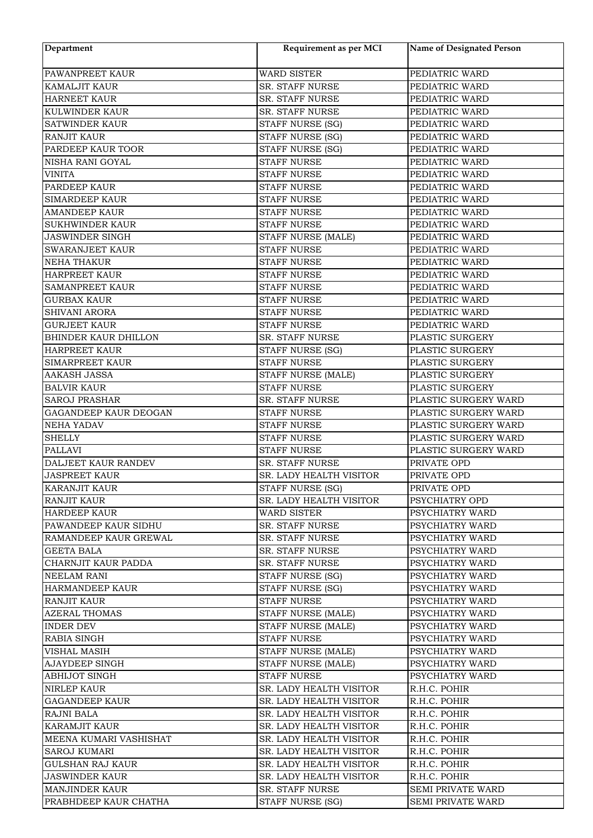| Department              | Requirement as per MCI  | Name of Designated Person                    |
|-------------------------|-------------------------|----------------------------------------------|
| PAWANPREET KAUR         | <b>WARD SISTER</b>      | PEDIATRIC WARD                               |
| KAMALJIT KAUR           | SR. STAFF NURSE         | PEDIATRIC WARD                               |
| <b>HARNEET KAUR</b>     | SR. STAFF NURSE         | PEDIATRIC WARD                               |
| KULWINDER KAUR          | SR. STAFF NURSE         | PEDIATRIC WARD                               |
| <b>SATWINDER KAUR</b>   | STAFF NURSE (SG)        | PEDIATRIC WARD                               |
| <b>RANJIT KAUR</b>      | STAFF NURSE (SG)        | PEDIATRIC WARD                               |
| PARDEEP KAUR TOOR       | <b>STAFF NURSE (SG)</b> | PEDIATRIC WARD                               |
| NISHA RANI GOYAL        | <b>STAFF NURSE</b>      | PEDIATRIC WARD                               |
| <b>VINITA</b>           | <b>STAFF NURSE</b>      | PEDIATRIC WARD                               |
| PARDEEP KAUR            | <b>STAFF NURSE</b>      | PEDIATRIC WARD                               |
| <b>SIMARDEEP KAUR</b>   | <b>STAFF NURSE</b>      | PEDIATRIC WARD                               |
| <b>AMANDEEP KAUR</b>    | <b>STAFF NURSE</b>      | PEDIATRIC WARD                               |
| <b>SUKHWINDER KAUR</b>  | <b>STAFF NURSE</b>      | PEDIATRIC WARD                               |
| <b>JASWINDER SINGH</b>  | STAFF NURSE (MALE)      | PEDIATRIC WARD                               |
| <b>SWARANJEET KAUR</b>  | <b>STAFF NURSE</b>      | PEDIATRIC WARD                               |
| <b>NEHA THAKUR</b>      | <b>STAFF NURSE</b>      | PEDIATRIC WARD                               |
| <b>HARPREET KAUR</b>    | <b>STAFF NURSE</b>      | PEDIATRIC WARD                               |
| SAMANPREET KAUR         | <b>STAFF NURSE</b>      | PEDIATRIC WARD                               |
| <b>GURBAX KAUR</b>      | <b>STAFF NURSE</b>      | PEDIATRIC WARD                               |
| <b>SHIVANI ARORA</b>    | <b>STAFF NURSE</b>      | PEDIATRIC WARD                               |
| <b>GURJEET KAUR</b>     | <b>STAFF NURSE</b>      | PEDIATRIC WARD                               |
| BHINDER KAUR DHILLON    | SR. STAFF NURSE         | PLASTIC SURGERY                              |
| HARPREET KAUR           | STAFF NURSE (SG)        | PLASTIC SURGERY                              |
| SIMARPREET KAUR         | <b>STAFF NURSE</b>      | PLASTIC SURGERY                              |
| <b>AAKASH JASSA</b>     | STAFF NURSE (MALE)      | PLASTIC SURGERY                              |
| <b>BALVIR KAUR</b>      | <b>STAFF NURSE</b>      | PLASTIC SURGERY                              |
| <b>SAROJ PRASHAR</b>    | SR. STAFF NURSE         |                                              |
|                         |                         | PLASTIC SURGERY WARD                         |
| GAGANDEEP KAUR DEOGAN   | <b>STAFF NURSE</b>      | PLASTIC SURGERY WARD                         |
| <b>NEHA YADAV</b>       | <b>STAFF NURSE</b>      | PLASTIC SURGERY WARD<br>PLASTIC SURGERY WARD |
| <b>SHELLY</b>           | <b>STAFF NURSE</b>      |                                              |
| <b>PALLAVI</b>          | <b>STAFF NURSE</b>      | PLASTIC SURGERY WARD                         |
| DALJEET KAUR RANDEV     | SR. STAFF NURSE         | PRIVATE OPD                                  |
| <b>JASPREET KAUR</b>    | SR. LADY HEALTH VISITOR | PRIVATE OPD                                  |
| <b>KARANJIT KAUR</b>    | STAFF NURSE (SG)        | PRIVATE OPD                                  |
| <b>RANJIT KAUR</b>      | SR. LADY HEALTH VISITOR | PSYCHIATRY OPD                               |
| <b>HARDEEP KAUR</b>     | <b>WARD SISTER</b>      | PSYCHIATRY WARD                              |
| PAWANDEEP KAUR SIDHU    | SR. STAFF NURSE         | PSYCHIATRY WARD                              |
| RAMANDEEP KAUR GREWAL   | SR. STAFF NURSE         | PSYCHIATRY WARD                              |
| <b>GEETA BALA</b>       | <b>SR. STAFF NURSE</b>  | PSYCHIATRY WARD                              |
| CHARNJIT KAUR PADDA     | <b>SR. STAFF NURSE</b>  | PSYCHIATRY WARD                              |
| <b>NEELAM RANI</b>      | STAFF NURSE (SG)        | PSYCHIATRY WARD                              |
| <b>HARMANDEEP KAUR</b>  | STAFF NURSE (SG)        | PSYCHIATRY WARD                              |
| <b>RANJIT KAUR</b>      | <b>STAFF NURSE</b>      | PSYCHIATRY WARD                              |
| <b>AZERAL THOMAS</b>    | STAFF NURSE (MALE)      | PSYCHIATRY WARD                              |
| <b>INDER DEV</b>        | STAFF NURSE (MALE)      | PSYCHIATRY WARD                              |
| <b>RABIA SINGH</b>      | <b>STAFF NURSE</b>      | PSYCHIATRY WARD                              |
| VISHAL MASIH            | STAFF NURSE (MALE)      | PSYCHIATRY WARD                              |
| <b>AJAYDEEP SINGH</b>   | STAFF NURSE (MALE)      | PSYCHIATRY WARD                              |
| <b>ABHIJOT SINGH</b>    | <b>STAFF NURSE</b>      | PSYCHIATRY WARD                              |
| <b>NIRLEP KAUR</b>      | SR. LADY HEALTH VISITOR | R.H.C. POHIR                                 |
| <b>GAGANDEEP KAUR</b>   | SR. LADY HEALTH VISITOR | R.H.C. POHIR                                 |
| <b>RAJNI BALA</b>       | SR. LADY HEALTH VISITOR | R.H.C. POHIR                                 |
| <b>KARAMJIT KAUR</b>    | SR. LADY HEALTH VISITOR | R.H.C. POHIR                                 |
| MEENA KUMARI VASHISHAT  | SR. LADY HEALTH VISITOR | R.H.C. POHIR                                 |
| <b>SAROJ KUMARI</b>     | SR. LADY HEALTH VISITOR | R.H.C. POHIR                                 |
| <b>GULSHAN RAJ KAUR</b> | SR. LADY HEALTH VISITOR | R.H.C. POHIR                                 |
| <b>JASWINDER KAUR</b>   | SR. LADY HEALTH VISITOR | R.H.C. POHIR                                 |
| <b>MANJINDER KAUR</b>   | SR. STAFF NURSE         | SEMI PRIVATE WARD                            |
| PRABHDEEP KAUR CHATHA   | STAFF NURSE (SG)        | SEMI PRIVATE WARD                            |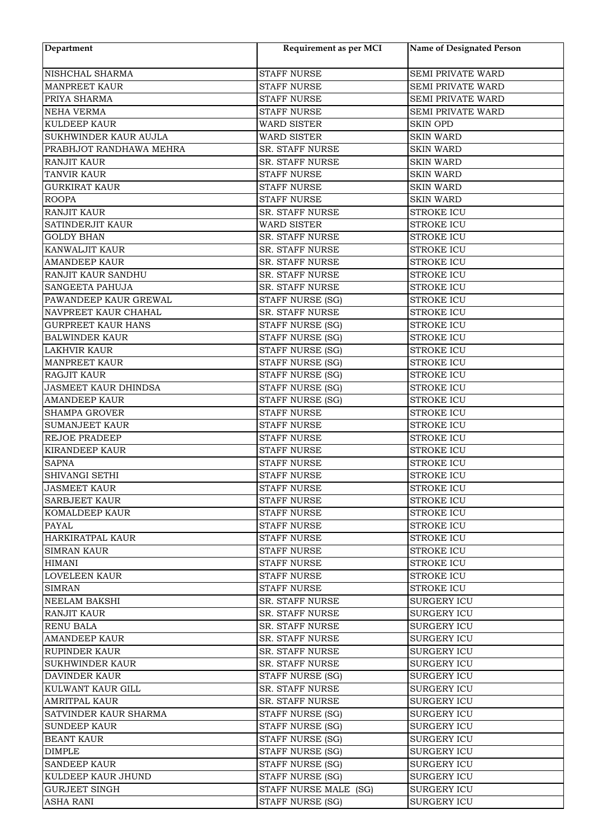| Department                                  | Requirement as per MCI                   | Name of Designated Person              |
|---------------------------------------------|------------------------------------------|----------------------------------------|
| NISHCHAL SHARMA                             | <b>STAFF NURSE</b>                       | SEMI PRIVATE WARD                      |
| <b>MANPREET KAUR</b>                        | <b>STAFF NURSE</b>                       | SEMI PRIVATE WARD                      |
| PRIYA SHARMA                                | <b>STAFF NURSE</b>                       | <b>SEMI PRIVATE WARD</b>               |
| NEHA VERMA                                  | <b>STAFF NURSE</b>                       | SEMI PRIVATE WARD                      |
| <b>KULDEEP KAUR</b>                         | <b>WARD SISTER</b>                       | <b>SKIN OPD</b>                        |
| SUKHWINDER KAUR AUJLA                       | <b>WARD SISTER</b>                       | <b>SKIN WARD</b>                       |
| PRABHJOT RANDHAWA MEHRA                     | SR. STAFF NURSE                          | <b>SKIN WARD</b>                       |
| <b>RANJIT KAUR</b>                          | SR. STAFF NURSE                          | <b>SKIN WARD</b>                       |
| <b>TANVIR KAUR</b>                          | <b>STAFF NURSE</b>                       | <b>SKIN WARD</b>                       |
| <b>GURKIRAT KAUR</b>                        | <b>STAFF NURSE</b>                       | <b>SKIN WARD</b>                       |
| <b>ROOPA</b>                                | <b>STAFF NURSE</b>                       | <b>SKIN WARD</b>                       |
| <b>RANJIT KAUR</b>                          | SR. STAFF NURSE                          | <b>STROKE ICU</b>                      |
| SATINDERJIT KAUR                            | <b>WARD SISTER</b>                       | <b>STROKE ICU</b>                      |
| <b>GOLDY BHAN</b>                           | SR. STAFF NURSE                          | <b>STROKE ICU</b>                      |
| KANWALJIT KAUR                              | <b>SR. STAFF NURSE</b>                   | <b>STROKE ICU</b>                      |
| <b>AMANDEEP KAUR</b>                        | SR. STAFF NURSE                          | <b>STROKE ICU</b>                      |
| RANJIT KAUR SANDHU                          | <b>SR. STAFF NURSE</b>                   | <b>STROKE ICU</b>                      |
| SANGEETA PAHUJA                             | SR. STAFF NURSE                          | <b>STROKE ICU</b>                      |
| PAWANDEEP KAUR GREWAL                       | STAFF NURSE (SG)                         | <b>STROKE ICU</b>                      |
| NAVPREET KAUR CHAHAL                        | <b>SR. STAFF NURSE</b>                   | <b>STROKE ICU</b>                      |
| <b>GURPREET KAUR HANS</b>                   | STAFF NURSE (SG)                         | <b>STROKE ICU</b>                      |
| <b>BALWINDER KAUR</b>                       | STAFF NURSE (SG)                         | <b>STROKE ICU</b>                      |
| <b>LAKHVIR KAUR</b>                         | STAFF NURSE (SG)                         | <b>STROKE ICU</b>                      |
| <b>MANPREET KAUR</b>                        | <b>STAFF NURSE (SG)</b>                  | <b>STROKE ICU</b>                      |
| RAGJIT KAUR                                 | STAFF NURSE (SG)                         | <b>STROKE ICU</b>                      |
| <b>JASMEET KAUR DHINDSA</b>                 | STAFF NURSE (SG)                         | <b>STROKE ICU</b>                      |
| <b>AMANDEEP KAUR</b>                        | STAFF NURSE (SG)                         | <b>STROKE ICU</b>                      |
| <b>SHAMPA GROVER</b>                        | <b>STAFF NURSE</b>                       | <b>STROKE ICU</b>                      |
| <b>SUMANJEET KAUR</b>                       | <b>STAFF NURSE</b>                       | <b>STROKE ICU</b>                      |
| REJOE PRADEEP                               | <b>STAFF NURSE</b>                       | <b>STROKE ICU</b>                      |
| <b>KIRANDEEP KAUR</b>                       | <b>STAFF NURSE</b>                       | <b>STROKE ICU</b>                      |
| <b>SAPNA</b>                                | <b>STAFF NURSE</b>                       | <b>STROKE ICU</b>                      |
| SHIVANGI SETHI                              | <b>STAFF NURSE</b>                       | <b>STROKE ICU</b>                      |
| <b>JASMEET KAUR</b><br><b>SARBJEET KAUR</b> | STAFF NURSE                              | <b>STROKE ICU</b>                      |
|                                             | STAFF NURSE                              | STROKE ICU                             |
| <b>KOMALDEEP KAUR</b>                       | <b>STAFF NURSE</b>                       | <b>STROKE ICU</b>                      |
| PAYAL<br>HARKIRATPAL KAUR                   | <b>STAFF NURSE</b><br><b>STAFF NURSE</b> | <b>STROKE ICU</b><br><b>STROKE ICU</b> |
| SIMRAN KAUR                                 | <b>STAFF NURSE</b>                       | <b>STROKE ICU</b>                      |
| HIMANI                                      | <b>STAFF NURSE</b>                       | <b>STROKE ICU</b>                      |
| <b>LOVELEEN KAUR</b>                        | <b>STAFF NURSE</b>                       | <b>STROKE ICU</b>                      |
| <b>SIMRAN</b>                               | <b>STAFF NURSE</b>                       | <b>STROKE ICU</b>                      |
| <b>NEELAM BAKSHI</b>                        | <b>SR. STAFF NURSE</b>                   | <b>SURGERY ICU</b>                     |
| <b>RANJIT KAUR</b>                          | <b>SR. STAFF NURSE</b>                   | <b>SURGERY ICU</b>                     |
| <b>RENU BALA</b>                            | <b>SR. STAFF NURSE</b>                   | <b>SURGERY ICU</b>                     |
| <b>AMANDEEP KAUR</b>                        | <b>SR. STAFF NURSE</b>                   | <b>SURGERY ICU</b>                     |
| <b>RUPINDER KAUR</b>                        | SR. STAFF NURSE                          | <b>SURGERY ICU</b>                     |
| <b>SUKHWINDER KAUR</b>                      | SR. STAFF NURSE                          | <b>SURGERY ICU</b>                     |
| DAVINDER KAUR                               | STAFF NURSE (SG)                         | <b>SURGERY ICU</b>                     |
| KULWANT KAUR GILL                           | <b>SR. STAFF NURSE</b>                   | <b>SURGERY ICU</b>                     |
| <b>AMRITPAL KAUR</b>                        | SR. STAFF NURSE                          | <b>SURGERY ICU</b>                     |
| SATVINDER KAUR SHARMA                       | STAFF NURSE (SG)                         | <b>SURGERY ICU</b>                     |
| <b>SUNDEEP KAUR</b>                         | STAFF NURSE (SG)                         | <b>SURGERY ICU</b>                     |
| <b>BEANT KAUR</b>                           | STAFF NURSE (SG)                         | SURGERY ICU                            |
| <b>DIMPLE</b>                               | STAFF NURSE (SG)                         | <b>SURGERY ICU</b>                     |
| <b>SANDEEP KAUR</b>                         | STAFF NURSE (SG)                         | <b>SURGERY ICU</b>                     |
| KULDEEP KAUR JHUND                          | STAFF NURSE (SG)                         | <b>SURGERY ICU</b>                     |
| <b>GURJEET SINGH</b>                        | STAFF NURSE MALE (SG)                    | SURGERY ICU                            |
| <b>ASHA RANI</b>                            | STAFF NURSE (SG)                         | <b>SURGERY ICU</b>                     |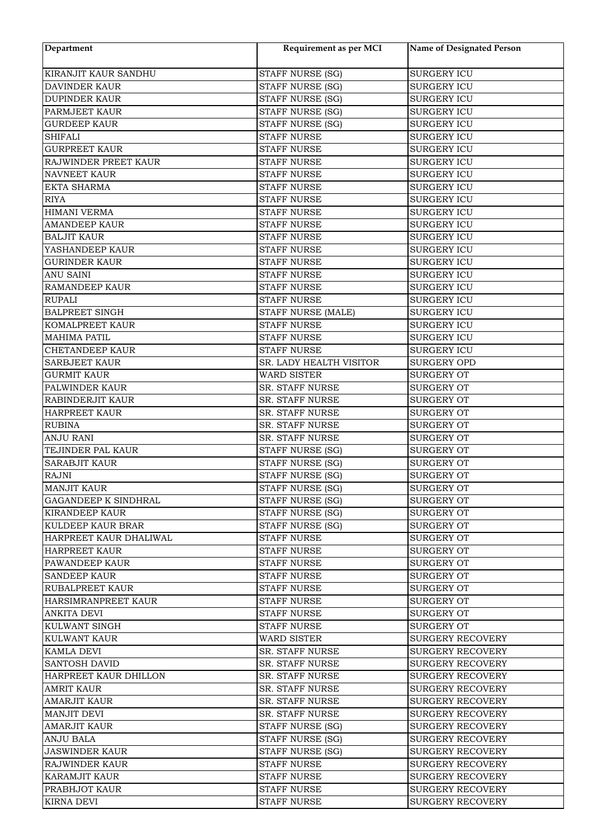| Department                                 | Requirement as per MCI                   | <b>Name of Designated Person</b>         |
|--------------------------------------------|------------------------------------------|------------------------------------------|
| KIRANJIT KAUR SANDHU                       | STAFF NURSE (SG)                         | <b>SURGERY ICU</b>                       |
| DAVINDER KAUR                              | STAFF NURSE (SG)                         | <b>SURGERY ICU</b>                       |
| <b>DUPINDER KAUR</b>                       | <b>STAFF NURSE (SG)</b>                  | <b>SURGERY ICU</b>                       |
| PARMJEET KAUR                              | STAFF NURSE (SG)                         | <b>SURGERY ICU</b>                       |
| <b>GURDEEP KAUR</b>                        | STAFF NURSE (SG)                         | <b>SURGERY ICU</b>                       |
|                                            |                                          |                                          |
| <b>SHIFALI</b><br><b>GURPREET KAUR</b>     | <b>STAFF NURSE</b>                       | <b>SURGERY ICU</b>                       |
| RAJWINDER PREET KAUR                       | <b>STAFF NURSE</b><br><b>STAFF NURSE</b> | <b>SURGERY ICU</b><br><b>SURGERY ICU</b> |
| <b>NAVNEET KAUR</b>                        | <b>STAFF NURSE</b>                       | <b>SURGERY ICU</b>                       |
| <b>EKTA SHARMA</b>                         | <b>STAFF NURSE</b>                       | <b>SURGERY ICU</b>                       |
| <b>RIYA</b>                                | <b>STAFF NURSE</b>                       | <b>SURGERY ICU</b>                       |
| HIMANI VERMA                               | <b>STAFF NURSE</b>                       | <b>SURGERY ICU</b>                       |
|                                            |                                          |                                          |
| <b>AMANDEEP KAUR</b><br><b>BALJIT KAUR</b> | <b>STAFF NURSE</b><br><b>STAFF NURSE</b> | <b>SURGERY ICU</b>                       |
| YASHANDEEP KAUR                            | <b>STAFF NURSE</b>                       | <b>SURGERY ICU</b>                       |
|                                            |                                          | <b>SURGERY ICU</b>                       |
| <b>GURINDER KAUR</b>                       | <b>STAFF NURSE</b>                       | <b>SURGERY ICU</b>                       |
| <b>ANU SAINI</b>                           | <b>STAFF NURSE</b>                       | <b>SURGERY ICU</b>                       |
| <b>RAMANDEEP KAUR</b>                      | <b>STAFF NURSE</b>                       | <b>SURGERY ICU</b>                       |
| <b>RUPALI</b>                              | <b>STAFF NURSE</b>                       | <b>SURGERY ICU</b>                       |
| <b>BALPREET SINGH</b>                      | STAFF NURSE (MALE)                       | <b>SURGERY ICU</b>                       |
| KOMALPREET KAUR                            | <b>STAFF NURSE</b>                       | <b>SURGERY ICU</b>                       |
| <b>MAHIMA PATIL</b>                        | <b>STAFF NURSE</b>                       | <b>SURGERY ICU</b>                       |
| <b>CHETANDEEP KAUR</b>                     | <b>STAFF NURSE</b>                       | <b>SURGERY ICU</b>                       |
| <b>SARBJEET KAUR</b>                       | SR. LADY HEALTH VISITOR                  | <b>SURGERY OPD</b>                       |
| <b>GURMIT KAUR</b>                         | <b>WARD SISTER</b>                       | <b>SURGERY OT</b>                        |
| PALWINDER KAUR                             | SR. STAFF NURSE                          | <b>SURGERY OT</b>                        |
| RABINDERJIT KAUR                           | SR. STAFF NURSE                          | <b>SURGERY OT</b>                        |
| <b>HARPREET KAUR</b>                       | SR. STAFF NURSE                          | <b>SURGERY OT</b>                        |
| <b>RUBINA</b>                              | SR. STAFF NURSE                          | <b>SURGERY OT</b>                        |
| <b>ANJU RANI</b>                           | <b>SR. STAFF NURSE</b>                   | <b>SURGERY OT</b>                        |
| TEJINDER PAL KAUR                          | STAFF NURSE (SG)                         | <b>SURGERY OT</b>                        |
| <b>SARABJIT KAUR</b>                       | <b>STAFF NURSE (SG)</b>                  | <b>SURGERY OT</b>                        |
| <b>RAJNI</b>                               | STAFF NURSE (SG)                         | <b>SURGERY OT</b>                        |
| MANJIT KAUR                                | STAFF NURSE (SG)                         | <b>SURGERY OT</b>                        |
| <b>GAGANDEEP K SINDHRAL</b>                | STAFF NURSE (SG)                         | SURGERY OT                               |
| <b>KIRANDEEP KAUR</b>                      | STAFF NURSE (SG)                         | <b>SURGERY OT</b>                        |
| KULDEEP KAUR BRAR                          | STAFF NURSE (SG)                         | SURGERY OT                               |
| HARPREET KAUR DHALIWAL                     | <b>STAFF NURSE</b>                       | SURGERY OT                               |
| <b>HARPREET KAUR</b>                       | <b>STAFF NURSE</b>                       | SURGERY OT                               |
| PAWANDEEP KAUR                             | <b>STAFF NURSE</b>                       | SURGERY OT                               |
| <b>SANDEEP KAUR</b>                        | <b>STAFF NURSE</b>                       | <b>SURGERY OT</b>                        |
| <b>RUBALPREET KAUR</b>                     | STAFF NURSE                              | <b>SURGERY OT</b>                        |
| HARSIMRANPREET KAUR                        | STAFF NURSE                              | SURGERY OT                               |
| ANKITA DEVI                                | <b>STAFF NURSE</b>                       | SURGERY OT                               |
| KULWANT SINGH                              | STAFF NURSE                              | SURGERY OT                               |
| KULWANT KAUR                               | <b>WARD SISTER</b>                       | <b>SURGERY RECOVERY</b>                  |
| KAMLA DEVI                                 | <b>SR. STAFF NURSE</b>                   | <b>SURGERY RECOVERY</b>                  |
| <b>SANTOSH DAVID</b>                       | <b>SR. STAFF NURSE</b>                   | <b>SURGERY RECOVERY</b>                  |
| HARPREET KAUR DHILLON                      | <b>SR. STAFF NURSE</b>                   | <b>SURGERY RECOVERY</b>                  |
| <b>AMRIT KAUR</b>                          | <b>SR. STAFF NURSE</b>                   | <b>SURGERY RECOVERY</b>                  |
| <b>AMARJIT KAUR</b>                        | <b>SR. STAFF NURSE</b>                   | <b>SURGERY RECOVERY</b>                  |
| <b>MANJIT DEVI</b>                         | <b>SR. STAFF NURSE</b>                   | <b>SURGERY RECOVERY</b>                  |
| <b>AMARJIT KAUR</b>                        | STAFF NURSE (SG)                         | <b>SURGERY RECOVERY</b>                  |
| ANJU BALA                                  | STAFF NURSE (SG)                         | <b>SURGERY RECOVERY</b>                  |
| <b>JASWINDER KAUR</b>                      | STAFF NURSE (SG)                         | <b>SURGERY RECOVERY</b>                  |
| RAJWINDER KAUR                             | <b>STAFF NURSE</b>                       | <b>SURGERY RECOVERY</b>                  |
| <b>KARAMJIT KAUR</b>                       | <b>STAFF NURSE</b>                       | <b>SURGERY RECOVERY</b>                  |
| PRABHJOT KAUR                              | <b>STAFF NURSE</b>                       | <b>SURGERY RECOVERY</b>                  |
| <b>KIRNA DEVI</b>                          | STAFF NURSE                              | <b>SURGERY RECOVERY</b>                  |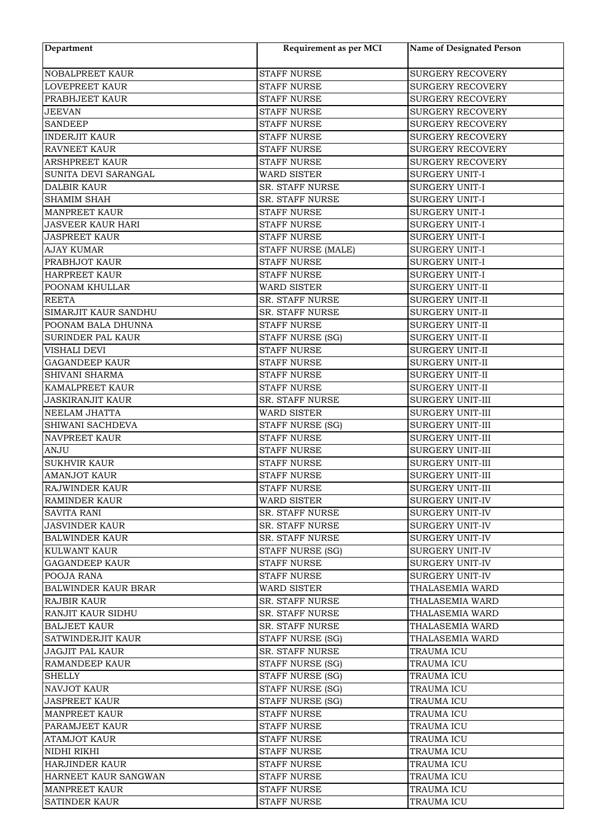| Department                 | Requirement as per MCI | <b>Name of Designated Person</b> |
|----------------------------|------------------------|----------------------------------|
| <b>NOBALPREET KAUR</b>     | <b>STAFF NURSE</b>     | <b>SURGERY RECOVERY</b>          |
| <b>LOVEPREET KAUR</b>      | <b>STAFF NURSE</b>     | <b>SURGERY RECOVERY</b>          |
| PRABHJEET KAUR             | <b>STAFF NURSE</b>     | <b>SURGERY RECOVERY</b>          |
| <b>JEEVAN</b>              | <b>STAFF NURSE</b>     | <b>SURGERY RECOVERY</b>          |
| <b>SANDEEP</b>             | <b>STAFF NURSE</b>     | <b>SURGERY RECOVERY</b>          |
| <b>INDERJIT KAUR</b>       | <b>STAFF NURSE</b>     | <b>SURGERY RECOVERY</b>          |
| <b>RAVNEET KAUR</b>        | <b>STAFF NURSE</b>     | <b>SURGERY RECOVERY</b>          |
| <b>ARSHPREET KAUR</b>      | <b>STAFF NURSE</b>     | <b>SURGERY RECOVERY</b>          |
| SUNITA DEVI SARANGAL       | WARD SISTER            | SURGERY UNIT-I                   |
| <b>DALBIR KAUR</b>         | SR. STAFF NURSE        | <b>SURGERY UNIT-I</b>            |
| SHAMIM SHAH                | SR. STAFF NURSE        | <b>SURGERY UNIT-I</b>            |
| <b>MANPREET KAUR</b>       | <b>STAFF NURSE</b>     | <b>SURGERY UNIT-I</b>            |
| <b>JASVEER KAUR HARI</b>   | <b>STAFF NURSE</b>     | <b>SURGERY UNIT-I</b>            |
| <b>JASPREET KAUR</b>       | <b>STAFF NURSE</b>     | <b>SURGERY UNIT-I</b>            |
| <b>AJAY KUMAR</b>          | STAFF NURSE (MALE)     | <b>SURGERY UNIT-I</b>            |
| PRABHJOT KAUR              | <b>STAFF NURSE</b>     | <b>SURGERY UNIT-I</b>            |
| <b>HARPREET KAUR</b>       | <b>STAFF NURSE</b>     | <b>SURGERY UNIT-I</b>            |
| POONAM KHULLAR             | WARD SISTER            | <b>SURGERY UNIT-II</b>           |
| <b>REETA</b>               | SR. STAFF NURSE        | SURGERY UNIT-II                  |
| SIMARJIT KAUR SANDHU       | SR. STAFF NURSE        | SURGERY UNIT-II                  |
| POONAM BALA DHUNNA         | <b>STAFF NURSE</b>     | SURGERY UNIT-II                  |
| SURINDER PAL KAUR          | STAFF NURSE (SG)       | SURGERY UNIT-II                  |
| VISHALI DEVI               | <b>STAFF NURSE</b>     | SURGERY UNIT-II                  |
| <b>GAGANDEEP KAUR</b>      | <b>STAFF NURSE</b>     | SURGERY UNIT-II                  |
| SHIVANI SHARMA             | <b>STAFF NURSE</b>     |                                  |
|                            |                        | SURGERY UNIT-II                  |
| KAMALPREET KAUR            | <b>STAFF NURSE</b>     | <b>SURGERY UNIT-II</b>           |
| <b>JASKIRANJIT KAUR</b>    | SR. STAFF NURSE        | <b>SURGERY UNIT-III</b>          |
| NEELAM JHATTA              | <b>WARD SISTER</b>     | SURGERY UNIT-III                 |
| SHIWANI SACHDEVA           | STAFF NURSE (SG)       | SURGERY UNIT-III                 |
| NAVPREET KAUR              | <b>STAFF NURSE</b>     | SURGERY UNIT-III                 |
| <b>ANJU</b>                | <b>STAFF NURSE</b>     | SURGERY UNIT-III                 |
| <b>SUKHVIR KAUR</b>        | <b>STAFF NURSE</b>     | SURGERY UNIT-III                 |
| <b>AMANJOT KAUR</b>        | <b>STAFF NURSE</b>     | <b>SURGERY UNIT-III</b>          |
| RAJWINDER KAUR             | <b>STAFF NURSE</b>     | SURGERY UNIT-III                 |
| RAMINDER KAUR              | WARD SISTER            | <b>SURGERY UNIT-IV</b>           |
| <b>SAVITA RANI</b>         | <b>SR. STAFF NURSE</b> | SURGERY UNIT-IV                  |
| <b>JASVINDER KAUR</b>      | <b>SR. STAFF NURSE</b> | <b>SURGERY UNIT-IV</b>           |
| BALWINDER KAUR             | SR. STAFF NURSE        | SURGERY UNIT-IV                  |
| <b>KULWANT KAUR</b>        | STAFF NURSE (SG)       | <b>SURGERY UNIT-IV</b>           |
| <b>GAGANDEEP KAUR</b>      | <b>STAFF NURSE</b>     | <b>SURGERY UNIT-IV</b>           |
| POOJA RANA                 | <b>STAFF NURSE</b>     | SURGERY UNIT-IV                  |
| <b>BALWINDER KAUR BRAR</b> | WARD SISTER            | THALASEMIA WARD                  |
| <b>RAJBIR KAUR</b>         | <b>SR. STAFF NURSE</b> | THALASEMIA WARD                  |
| RANJIT KAUR SIDHU          | SR. STAFF NURSE        | THALASEMIA WARD                  |
| <b>BALJEET KAUR</b>        | <b>SR. STAFF NURSE</b> | THALASEMIA WARD                  |
| SATWINDERJIT KAUR          | STAFF NURSE (SG)       | THALASEMIA WARD                  |
| <b>JAGJIT PAL KAUR</b>     | <b>SR. STAFF NURSE</b> | <b>TRAUMA ICU</b>                |
| RAMANDEEP KAUR             | STAFF NURSE (SG)       | TRAUMA ICU                       |
| <b>SHELLY</b>              | STAFF NURSE (SG)       | TRAUMA ICU                       |
| <b>NAVJOT KAUR</b>         | STAFF NURSE (SG)       | <b>TRAUMA ICU</b>                |
| <b>JASPREET KAUR</b>       | STAFF NURSE (SG)       | TRAUMA ICU                       |
| <b>MANPREET KAUR</b>       | <b>STAFF NURSE</b>     | <b>TRAUMA ICU</b>                |
| PARAMJEET KAUR             | <b>STAFF NURSE</b>     | TRAUMA ICU                       |
| ATAMJOT KAUR               | STAFF NURSE            | TRAUMA ICU                       |
| NIDHI RIKHI                | STAFF NURSE            | <b>TRAUMA ICU</b>                |
| <b>HARJINDER KAUR</b>      | <b>STAFF NURSE</b>     | <b>TRAUMA ICU</b>                |
| HARNEET KAUR SANGWAN       | <b>STAFF NURSE</b>     | <b>TRAUMA ICU</b>                |
| <b>MANPREET KAUR</b>       | <b>STAFF NURSE</b>     | TRAUMA ICU                       |
| <b>SATINDER KAUR</b>       | <b>STAFF NURSE</b>     | TRAUMA ICU                       |